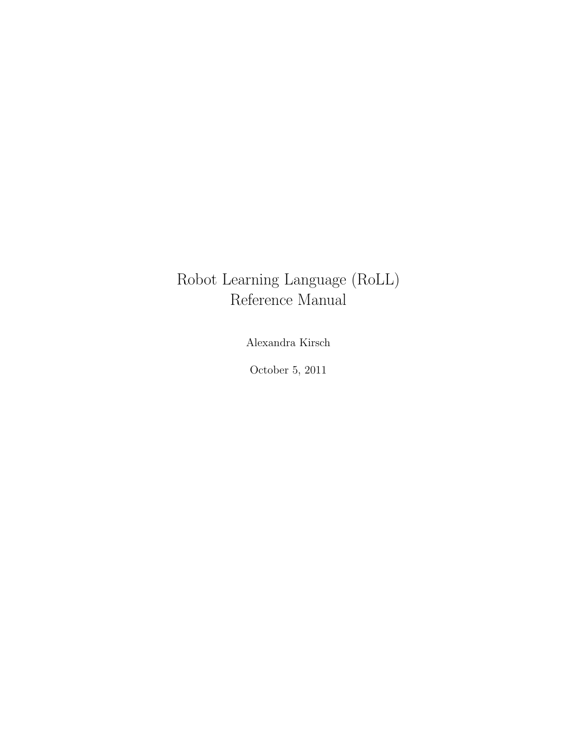## Robot Learning Language (RoLL) Reference Manual

Alexandra Kirsch

October 5, 2011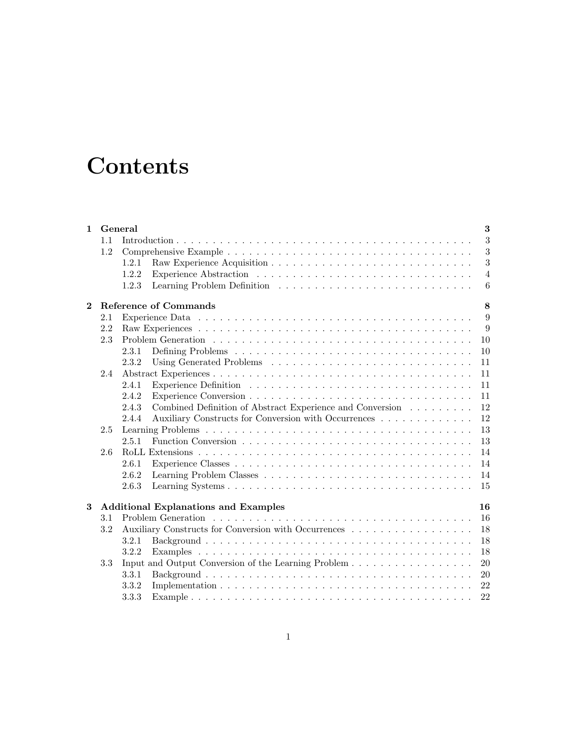# **Contents**

| $\mathbf{1}$ |     | $\bf{3}$<br>General                                                |                |  |  |  |  |  |  |  |  |
|--------------|-----|--------------------------------------------------------------------|----------------|--|--|--|--|--|--|--|--|
|              | 1.1 |                                                                    | 3              |  |  |  |  |  |  |  |  |
|              | 1.2 |                                                                    | 3              |  |  |  |  |  |  |  |  |
|              |     | 1.2.1                                                              | 3              |  |  |  |  |  |  |  |  |
|              |     | 1.2.2                                                              | $\overline{4}$ |  |  |  |  |  |  |  |  |
|              |     | 1.2.3                                                              | 6              |  |  |  |  |  |  |  |  |
| $\mathbf{2}$ |     | Reference of Commands                                              | 8              |  |  |  |  |  |  |  |  |
|              | 2.1 |                                                                    | 9              |  |  |  |  |  |  |  |  |
|              | 2.2 |                                                                    | 9              |  |  |  |  |  |  |  |  |
|              | 2.3 |                                                                    | 10             |  |  |  |  |  |  |  |  |
|              |     | 2.3.1                                                              | 10             |  |  |  |  |  |  |  |  |
|              |     | 2.3.2                                                              | 11             |  |  |  |  |  |  |  |  |
|              | 2.4 |                                                                    | 11             |  |  |  |  |  |  |  |  |
|              |     | 2.4.1                                                              | 11             |  |  |  |  |  |  |  |  |
|              |     | 2.4.2                                                              | 11             |  |  |  |  |  |  |  |  |
|              |     | Combined Definition of Abstract Experience and Conversion<br>2.4.3 | 12             |  |  |  |  |  |  |  |  |
|              |     | Auxiliary Constructs for Conversion with Occurrences<br>2.4.4      | 12             |  |  |  |  |  |  |  |  |
|              | 2.5 | 13                                                                 |                |  |  |  |  |  |  |  |  |
|              |     | 2.5.1                                                              | 13             |  |  |  |  |  |  |  |  |
|              | 2.6 |                                                                    | 14             |  |  |  |  |  |  |  |  |
|              |     | 2.6.1                                                              | 14             |  |  |  |  |  |  |  |  |
|              |     | 2.6.2                                                              | 14             |  |  |  |  |  |  |  |  |
|              |     | 2.6.3                                                              | 15             |  |  |  |  |  |  |  |  |
| 3            |     | <b>Additional Explanations and Examples</b>                        | 16             |  |  |  |  |  |  |  |  |
|              | 3.1 |                                                                    | 16             |  |  |  |  |  |  |  |  |
|              | 3.2 | Auxiliary Constructs for Conversion with Occurrences               | 18             |  |  |  |  |  |  |  |  |
|              |     | 3.2.1                                                              | 18             |  |  |  |  |  |  |  |  |
|              |     | 3.2.2                                                              | 18             |  |  |  |  |  |  |  |  |
|              | 3.3 |                                                                    | 20             |  |  |  |  |  |  |  |  |
|              |     | 3.3.1                                                              | 20             |  |  |  |  |  |  |  |  |
|              |     | 3.3.2                                                              | 22             |  |  |  |  |  |  |  |  |
|              |     | 3.3.3                                                              | 22             |  |  |  |  |  |  |  |  |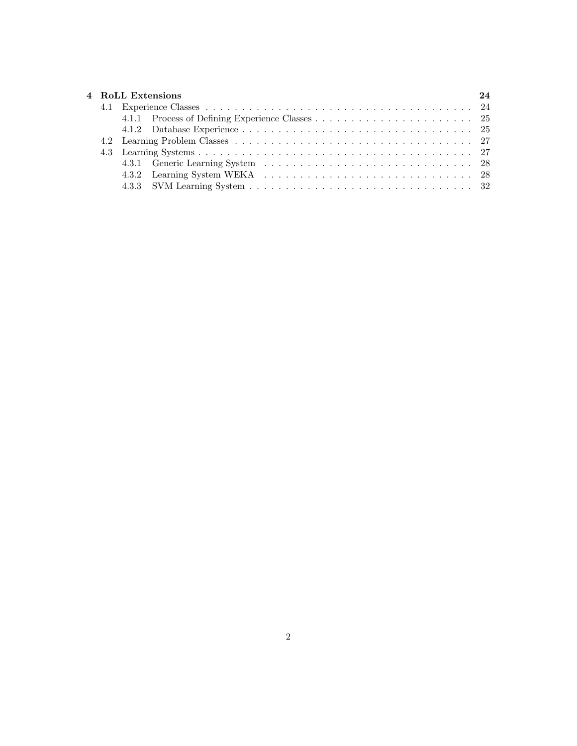|  | 4 RoLL Extensions | 24 |  |  |  |  |  |  |  |
|--|-------------------|----|--|--|--|--|--|--|--|
|  |                   |    |  |  |  |  |  |  |  |
|  |                   |    |  |  |  |  |  |  |  |
|  |                   |    |  |  |  |  |  |  |  |
|  |                   |    |  |  |  |  |  |  |  |
|  |                   |    |  |  |  |  |  |  |  |
|  |                   |    |  |  |  |  |  |  |  |
|  |                   |    |  |  |  |  |  |  |  |
|  |                   |    |  |  |  |  |  |  |  |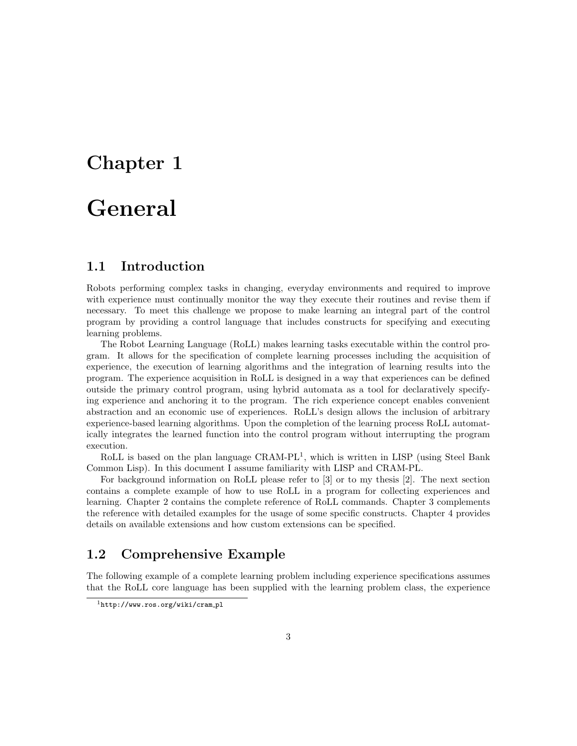# Chapter 1

## General

## 1.1 Introduction

Robots performing complex tasks in changing, everyday environments and required to improve with experience must continually monitor the way they execute their routines and revise them if necessary. To meet this challenge we propose to make learning an integral part of the control program by providing a control language that includes constructs for specifying and executing learning problems.

The Robot Learning Language (RoLL) makes learning tasks executable within the control program. It allows for the specification of complete learning processes including the acquisition of experience, the execution of learning algorithms and the integration of learning results into the program. The experience acquisition in RoLL is designed in a way that experiences can be defined outside the primary control program, using hybrid automata as a tool for declaratively specifying experience and anchoring it to the program. The rich experience concept enables convenient abstraction and an economic use of experiences. RoLL's design allows the inclusion of arbitrary experience-based learning algorithms. Upon the completion of the learning process RoLL automatically integrates the learned function into the control program without interrupting the program execution.

RoLL is based on the plan language CRAM-PL<sup>1</sup>, which is written in LISP (using Steel Bank Common Lisp). In this document I assume familiarity with LISP and CRAM-PL.

For background information on RoLL please refer to [3] or to my thesis [2]. The next section contains a complete example of how to use RoLL in a program for collecting experiences and learning. Chapter 2 contains the complete reference of RoLL commands. Chapter 3 complements the reference with detailed examples for the usage of some specific constructs. Chapter 4 provides details on available extensions and how custom extensions can be specified.

## 1.2 Comprehensive Example

The following example of a complete learning problem including experience specifications assumes that the RoLL core language has been supplied with the learning problem class, the experience

<sup>1</sup>http://www.ros.org/wiki/cram pl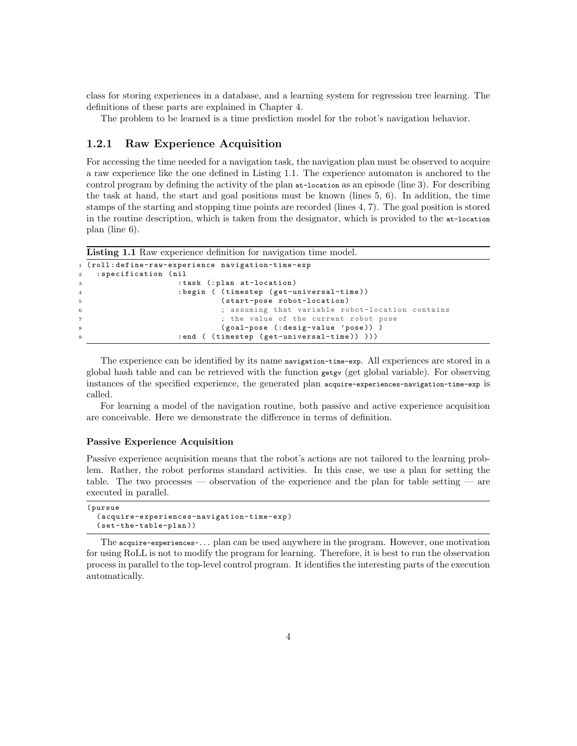class for storing experiences in a database, and a learning system for regression tree learning. The definitions of these parts are explained in Chapter 4.

The problem to be learned is a time prediction model for the robot's navigation behavior.

## 1.2.1 Raw Experience Acquisition

For accessing the time needed for a navigation task, the navigation plan must be observed to acquire a raw experience like the one defined in Listing 1.1. The experience automaton is anchored to the control program by defining the activity of the plan at-location as an episode (line 3). For describing the task at hand, the start and goal positions must be known (lines 5, 6). In addition, the time stamps of the starting and stopping time points are recorded (lines 4, 7). The goal position is stored in the routine description, which is taken from the designator, which is provided to the at-location plan (line 6).

```
Listing 1.1 Raw experience definition for navigation time model.
```

```
1 ( roll : define-raw-experience navigation-time-exp
2 : specification ( nil
3 : task (: plan at-location )
4 : begin ( ( timestep ( get-universal-time ))
5 ( start-pose robot-location )
6 ; assuming that variable robot-location contains
7 ; the value of the current robot pose
                      (goal-pose (: desig-value 'pose)) )
9 : end ( (timestep ( get-universal-time ) ) ) )
```
The experience can be identified by its name navigation-time-exp. All experiences are stored in a global hash table and can be retrieved with the function getgv (get global variable). For observing instances of the specified experience, the generated plan acquire-experiences-navigation-time-exp is called.

For learning a model of the navigation routine, both passive and active experience acquisition are conceivable. Here we demonstrate the difference in terms of definition.

#### Passive Experience Acquisition

Passive experience acquisition means that the robot's actions are not tailored to the learning problem. Rather, the robot performs standard activities. In this case, we use a plan for setting the table. The two processes — observation of the experience and the plan for table setting — are executed in parallel.

```
( pursue
  ( acquire-experiences-navigation-time-exp )
  ( set-the-table-plan ))
```
The acquire-experiences-... plan can be used anywhere in the program. However, one motivation for using RoLL is not to modify the program for learning. Therefore, it is best to run the observation process in parallel to the top-level control program. It identifies the interesting parts of the execution automatically.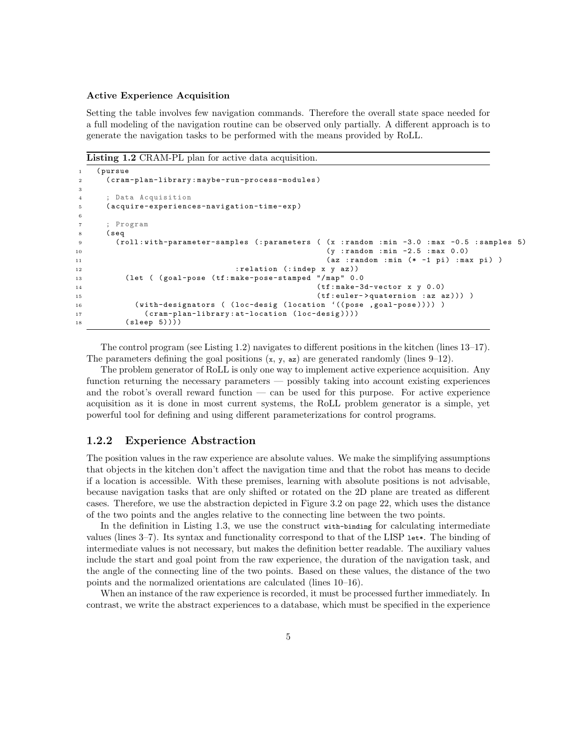#### Active Experience Acquisition

Setting the table involves few navigation commands. Therefore the overall state space needed for a full modeling of the navigation routine can be observed only partially. A different approach is to generate the navigation tasks to be performed with the means provided by RoLL.

Listing 1.2 CRAM-PL plan for active data acquisition.

```
(pursue
2 ( cram-plan-library : maybe-run-process-modules )
3
4 ; Data Acquisition
5 ( acquire-experiences-navigation-time-exp )
6
7 ; Program
8 ( seq
9 (roll: with-parameter-samples (: parameters ( (x : random : min -3.0 : max -0.5 : samples 5)
10 (y : random : min -2.5 : max 0.0)
11 (az : random : min (* -1 pi) : max pi) )
12 : relation (: indep x y az ))
13 ( let ( ( goal-pose ( tf : make-pose-stamped "/ map " 0.0
14 ( tf : make-3d-vector x y 0.0)
15 (tf:euler->quaternion : az az))) )
16 ( with-designators ( (loc-desig (location '((pose ,goal-pose)))) )
17 ( cram-plan-library : at-location ( loc-desig ))))
18 (sleep 5))))
```
The control program (see Listing 1.2) navigates to different positions in the kitchen (lines 13–17). The parameters defining the goal positions  $(x, y, az)$  are generated randomly (lines  $9-12$ ).

The problem generator of RoLL is only one way to implement active experience acquisition. Any function returning the necessary parameters — possibly taking into account existing experiences and the robot's overall reward function — can be used for this purpose. For active experience acquisition as it is done in most current systems, the RoLL problem generator is a simple, yet powerful tool for defining and using different parameterizations for control programs.

## 1.2.2 Experience Abstraction

The position values in the raw experience are absolute values. We make the simplifying assumptions that objects in the kitchen don't affect the navigation time and that the robot has means to decide if a location is accessible. With these premises, learning with absolute positions is not advisable, because navigation tasks that are only shifted or rotated on the 2D plane are treated as different cases. Therefore, we use the abstraction depicted in Figure 3.2 on page 22, which uses the distance of the two points and the angles relative to the connecting line between the two points.

In the definition in Listing 1.3, we use the construct with-binding for calculating intermediate values (lines 3–7). Its syntax and functionality correspond to that of the LISP let\*. The binding of intermediate values is not necessary, but makes the definition better readable. The auxiliary values include the start and goal point from the raw experience, the duration of the navigation task, and the angle of the connecting line of the two points. Based on these values, the distance of the two points and the normalized orientations are calculated (lines 10–16).

When an instance of the raw experience is recorded, it must be processed further immediately. In contrast, we write the abstract experiences to a database, which must be specified in the experience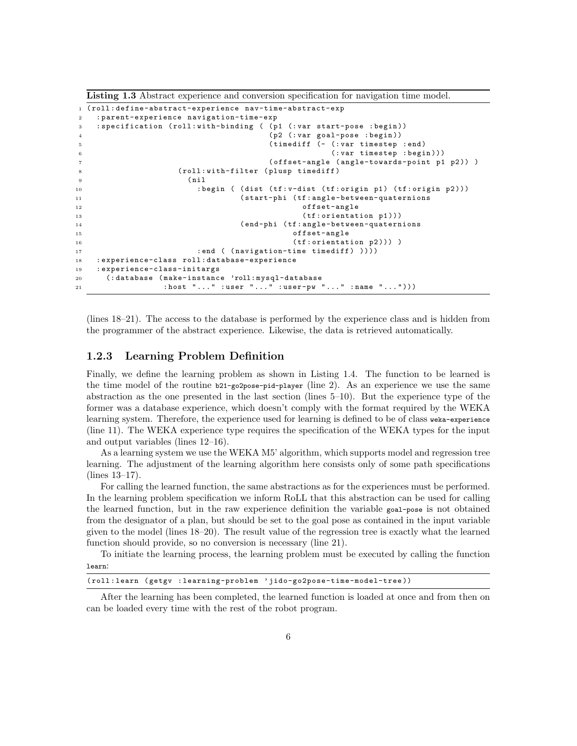Listing 1.3 Abstract experience and conversion specification for navigation time model.

```
1 ( roll : define-abstract-experience nav-time-abstract-exp
2 : parent-experience navigation-time-exp
3 : specification ( roll : with-binding ( ( p1 (: var start-pose : begin ))
4 ( p2 (: var goal-pose : begin ))
5 ( timediff (- (: var timestep : end )
6 (: var timestep : begin )))
7 ( offset-angle ( angle-towards-point p1 p2 )) )
              (roll:with-filter (plusp timediff)<br>(nil
9 (nil
10 : begin ( (dist (tf: v-dist (tf: origin p1) (tf: origin p2)))
11 ( start-phi ( tf : angle-between-quaternions
12 offset-angle
13 (tf:orientation p1)))
14 ( end-phi ( tf : angle-between-quaternions
15 offset-angle
16 (tf:orientation p2))) )
17 : end ( (navigation-time timediff) ))))
18 : experience-class roll : database-experience
19 : experience-class-initargs
20 (: database ( make-instance 'roll: mysql-database
21 : host "..." :user "..." :user-pw "..." :name "..."))
```
(lines 18–21). The access to the database is performed by the experience class and is hidden from the programmer of the abstract experience. Likewise, the data is retrieved automatically.

## 1.2.3 Learning Problem Definition

Finally, we define the learning problem as shown in Listing 1.4. The function to be learned is the time model of the routine  $b21-go2pose-pid-player$  (line 2). As an experience we use the same abstraction as the one presented in the last section (lines 5–10). But the experience type of the former was a database experience, which doesn't comply with the format required by the WEKA learning system. Therefore, the experience used for learning is defined to be of class weka-experience (line 11). The WEKA experience type requires the specification of the WEKA types for the input and output variables (lines 12–16).

As a learning system we use the WEKA M5' algorithm, which supports model and regression tree learning. The adjustment of the learning algorithm here consists only of some path specifications (lines 13–17).

For calling the learned function, the same abstractions as for the experiences must be performed. In the learning problem specification we inform RoLL that this abstraction can be used for calling the learned function, but in the raw experience definition the variable goal-pose is not obtained from the designator of a plan, but should be set to the goal pose as contained in the input variable given to the model (lines 18–20). The result value of the regression tree is exactly what the learned function should provide, so no conversion is necessary (line 21).

To initiate the learning process, the learning problem must be executed by calling the function learn:

```
( roll : learn ( getgv : learning-problem ' jido-go2pose-time-model-tree ))
```
After the learning has been completed, the learned function is loaded at once and from then on can be loaded every time with the rest of the robot program.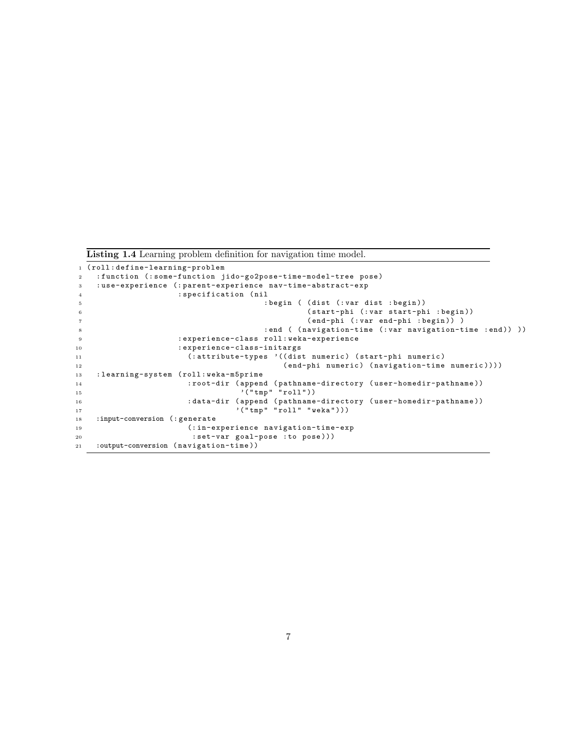Listing 1.4 Learning problem definition for navigation time model.

```
1 ( roll : define-learning-problem
2 : function (: some-function jido-go2pose-time-model-tree pose )
3 : use-experience (: parent-experience nav-time-abstract-exp
4 : specification ( nil
5 : begin ( ( dist (: var dist : begin ))
6 ( start-phi (: var start-phi : begin ))
7 ( end-phi (: var end-phi : begin )) )
8 : end ( (navigation-time (: var navigation-time : end) ) )
9 : experience-class roll : weka-experience
10 : experience-class-initargs
11 (: attribute-types '(( dist numeric ) ( start-phi numeric )
12 ( end-phi numeric ) ( navigation-time numeric ))))
13 : learning-system ( roll : weka-m5prime
14 : root-dir ( append ( pathname-directory ( user-homedir-pathname ))
15 \hspace{1cm} ( " \texttt{tmp} " \texttt{roll}"))16 : data-dir ( append ( pathname-directory ( user-homedir-pathname ))
17 \langle " tmp" " roll " " weka " ) ) )
18 :input-conversion (: generate
19 (: in-experience navigation-time-exp
20 : set-var goal-pose : to pose )))
21 :output-conversion ( navigation-time ))
```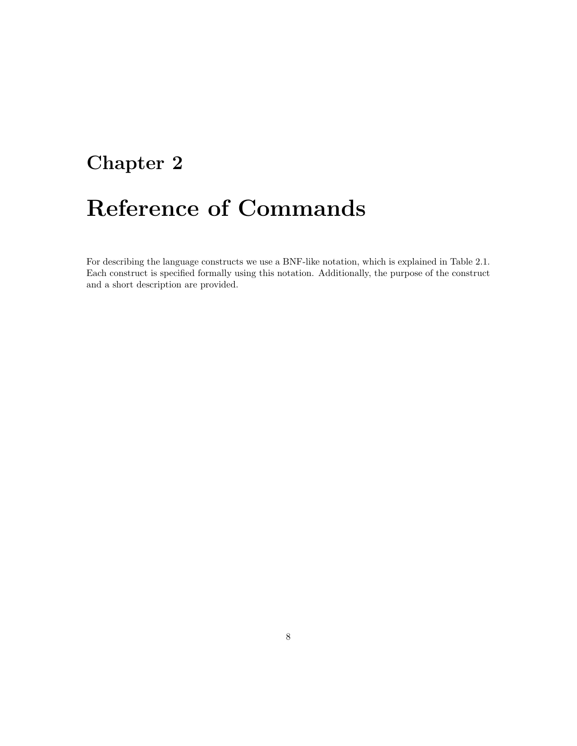# Chapter 2

# Reference of Commands

For describing the language constructs we use a BNF-like notation, which is explained in Table 2.1. Each construct is specified formally using this notation. Additionally, the purpose of the construct and a short description are provided.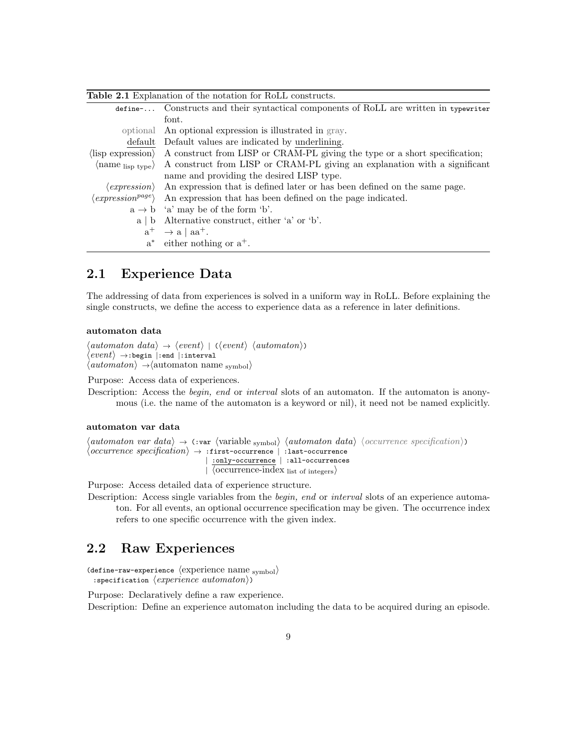| <b>Table 2.1</b> Explanation of the notation for RoLL constructs. |                                                                                                                       |  |  |  |  |  |
|-------------------------------------------------------------------|-----------------------------------------------------------------------------------------------------------------------|--|--|--|--|--|
| define-                                                           | Constructs and their syntactical components of RoLL are written in typewriter                                         |  |  |  |  |  |
|                                                                   | font.                                                                                                                 |  |  |  |  |  |
|                                                                   | optional An optional expression is illustrated in gray.                                                               |  |  |  |  |  |
| default                                                           | Default values are indicated by underlining.                                                                          |  |  |  |  |  |
| $\langle$ lisp expression $\rangle$                               | A construct from LISP or CRAM-PL giving the type or a short specification;                                            |  |  |  |  |  |
|                                                                   | $\langle$ name $_{\text{lisp type}}\rangle$ A construct from LISP or CRAM-PL giving an explanation with a significant |  |  |  |  |  |
|                                                                   | name and providing the desired LISP type.                                                                             |  |  |  |  |  |
|                                                                   | $\langle expression \rangle$ An expression that is defined later or has been defined on the same page.                |  |  |  |  |  |
| $\langle expression^{page}\rangle$                                | An expression that has been defined on the page indicated.                                                            |  |  |  |  |  |
|                                                                   | $a \rightarrow b$ 'a' may be of the form 'b'.                                                                         |  |  |  |  |  |
|                                                                   | $a \mid b$ Alternative construct, either 'a' or 'b'.                                                                  |  |  |  |  |  |
|                                                                   | $a^+ \rightarrow a \mid aa^+.$                                                                                        |  |  |  |  |  |
|                                                                   | $a^*$ either nothing or $a^+$ .                                                                                       |  |  |  |  |  |

## 2.1 Experience Data

The addressing of data from experiences is solved in a uniform way in RoLL. Before explaining the single constructs, we define the access to experience data as a reference in later definitions.

## automaton data

```
\langleautomaton data\rangle \rightarrow \langle event \rangle | (\langle event \rangle \langleautomaton\rangle)
\langle\mathit{event}\rangle \rightarrow:begin |:end |:interval
\langleautomaton\rangle \rightarrow \langleautomaton name <sub>symbol</sub>\rangle
```
Purpose: Access data of experiences.

Description: Access the begin, end or interval slots of an automaton. If the automaton is anonymous (i.e. the name of the automaton is a keyword or nil), it need not be named explicitly.

#### automaton var data

```
\langle automaton var data\rangle \rightarrow (:var \langle variable <sub>symbol</sub>) \langle automaton data\rangle \langle occurrence specification<sub>i</sub>)
\langle occurrence\ specification\rangle \rightarrow :first-occurrence \ | \ :last-occurrence| :only-occurrence | :all-occurrences
                                            \sqrt{\langle occurrence-index list of integers\rangle
```
Purpose: Access detailed data of experience structure.

Description: Access single variables from the *begin, end* or *interval* slots of an experience automaton. For all events, an optional occurrence specification may be given. The occurrence index refers to one specific occurrence with the given index.

## 2.2 Raw Experiences

```
(define-raw-experience \langle experience name symbol)
 : specification \langle experience\;automaton\rangle)
```
Purpose: Declaratively define a raw experience. Description: Define an experience automaton including the data to be acquired during an episode.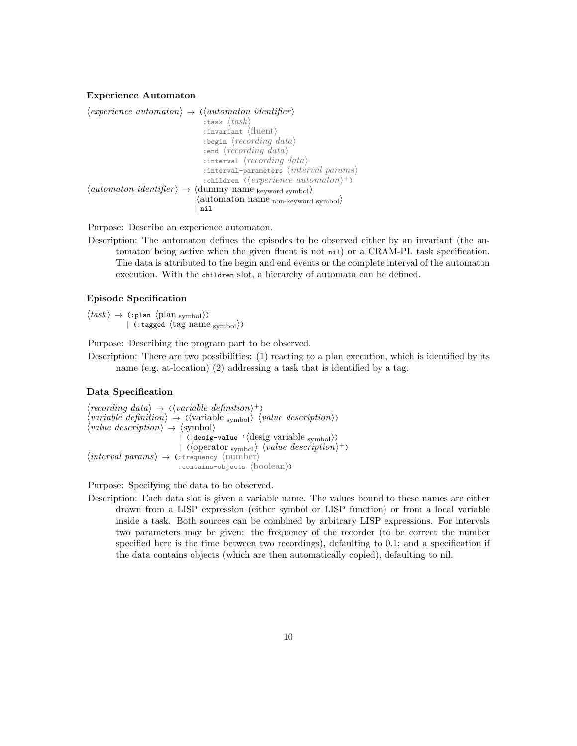#### Experience Automaton

```
\langle experience\ automaton\rangle \rightarrow (\langle automaton\ identifier\rangle:task \langle task \rangle: invariant \langle fluent\rangle: begin \langle recording\ data\rangle: end \langle recording\ data\rangle: interval \langle recording\ data\rangle: interval-parameters \langle interval\ params\rangle: children (\langle experience\ automaton\rangle^+)\langleautomaton identifier\rangle \rightarrow \langledummy name <sub>keyword</sub> symbol\rangle|\langleautomaton name <sub>non-keyword symbol</sub>\rangle| nil
```
Purpose: Describe an experience automaton.

Description: The automaton defines the episodes to be observed either by an invariant (the automaton being active when the given fluent is not nil) or a CRAM-PL task specification. The data is attributed to the begin and end events or the complete interval of the automaton execution. With the children slot, a hierarchy of automata can be defined.

## Episode Specification

 $\langle task \rangle \rightarrow$  (:plan  $\langle plan_{\text{symbol}} \rangle$ ) | (:tagged  $\langle$ tag name <sub>symbol</sub> $\rangle$ )

Purpose: Describing the program part to be observed.

Description: There are two possibilities: (1) reacting to a plan execution, which is identified by its name (e.g. at-location) (2) addressing a task that is identified by a tag.

#### Data Specification

 $\langle recording\ data\rangle \rightarrow (\langle variable\ definition\rangle^+)$  $\langle variable \; definition \rangle \rightarrow (\langle variable \; symbol \rangle \; \langle value \; description \rangle)$  $\langle value \, description \rangle \rightarrow \langle symbol \rangle$ | (:desig-value ' $\langle$ desig variable <sub>symbol</sub> $\rangle$ )  $\langle \text{ operator }_{\text{symbol}} \rangle$   $\langle \text{value } description \rangle^+$  $\langle interval \;params \rangle \rightarrow$  (:frequency  $\langle number \rangle$ : contains-objects  $\langle$ boolean $\rangle$ )

Purpose: Specifying the data to be observed.

Description: Each data slot is given a variable name. The values bound to these names are either drawn from a LISP expression (either symbol or LISP function) or from a local variable inside a task. Both sources can be combined by arbitrary LISP expressions. For intervals two parameters may be given: the frequency of the recorder (to be correct the number specified here is the time between two recordings), defaulting to 0.1; and a specification if the data contains objects (which are then automatically copied), defaulting to nil.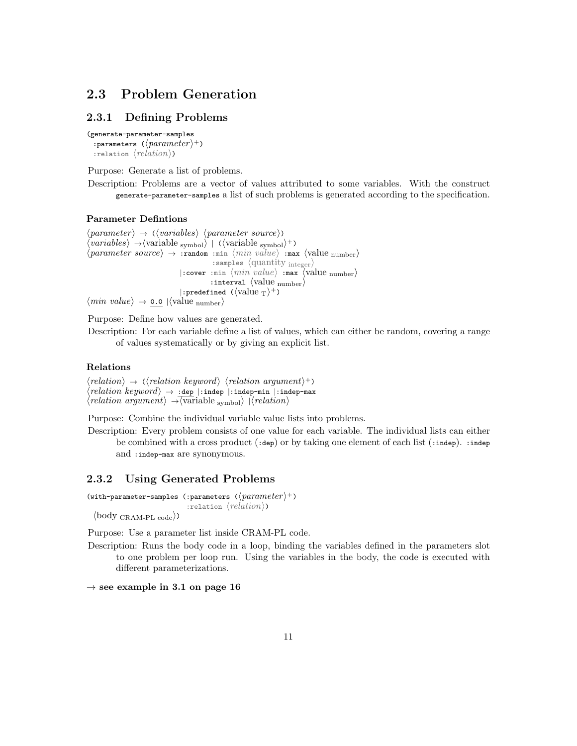## 2.3 Problem Generation

## 2.3.1 Defining Problems

```
(generate-parameter-samples
  : parameters (\langle parameter \rangle^+): relation \langle relation \rangle)
```
Purpose: Generate a list of problems.

Description: Problems are a vector of values attributed to some variables. With the construct generate-parameter-samples a list of such problems is generated according to the specification.

### Parameter Defintions

 $\langle parameter \rangle \rightarrow \langle \langle variables \rangle \langle parameter \; source \rangle$ )  $\langle variables \rangle \rightarrow \langle variable_{\text{symbol}} \rangle$  | ( $\langle variable_{\text{symbol}} \rangle^+$ )  $\langle parameter\ source\rangle \rightarrow :$ random :min  $\langle min\ value\rangle :$ max  $\langle value\ number\rangle$ : samples  $\langle \text{quantity integer} \rangle$  $|:$ cover :min  $\langle min \ value \rangle :$ max  $\langle value \ number \rangle$ : interval  $\langle$  value number $\rangle$ |:predefined ( $\langle$ value  $_T \rangle^+$ )  $\langle \textit{min value} \rangle \rightarrow \text{\underline{0.0}}$   $|\langle \textit{value }_\text{number} \rangle$ 

Purpose: Define how values are generated.

Description: For each variable define a list of values, which can either be random, covering a range of values systematically or by giving an explicit list.

### Relations

```
\langle relation \rangle \rightarrow (\langle relation \; keyword \rangle \; \langle relation \; argument \rangle^+)\langle relation\; keyword \rangle \,\rightarrow \, \underline{\texttt{:dep}}\; \vert \texttt{:indep-min} \; \vert \texttt{:indep-max}\langle relation \ argument \rangle \rightarrow \langle variable \ symbol \rangle |\langle relation \rangle
```
Purpose: Combine the individual variable value lists into problems.

Description: Every problem consists of one value for each variable. The individual lists can either be combined with a cross product  $(\cdot, \text{dep})$  or by taking one element of each list  $(\cdot, \text{indep})$ .  $\cdot, \text{indep}$ and :indep-max are synonymous.

## 2.3.2 Using Generated Problems

```
(with-parameter-samples (:parameters (\langle parameter \rangle^+))
                                       : relation \langle relation \rangle)
  \langle \text{body}_{\text{CRAM-PL code}} \rangle
```
Purpose: Use a parameter list inside CRAM-PL code.

Description: Runs the body code in a loop, binding the variables defined in the parameters slot to one problem per loop run. Using the variables in the body, the code is executed with different parameterizations.

 $\rightarrow$  see example in 3.1 on page 16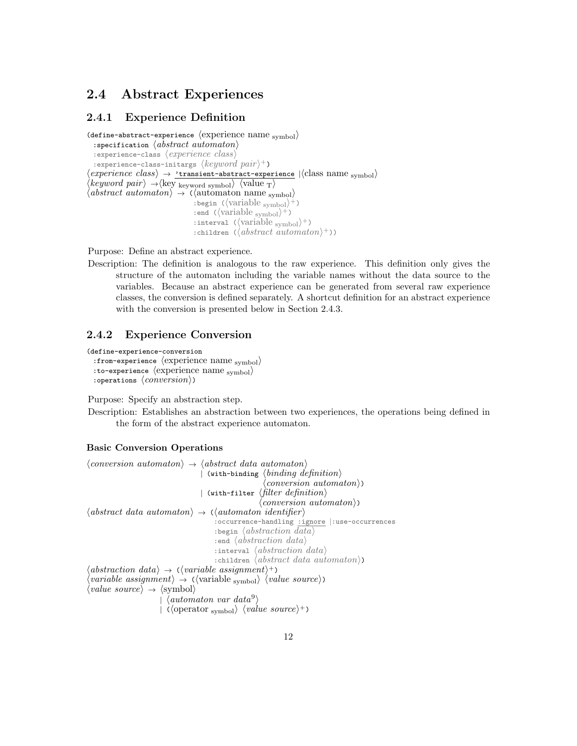## 2.4 Abstract Experiences

## 2.4.1 Experience Definition

```
(define-abstract-experience \langle experience name _{\text{symbol}}\rangle: specification \langle abstract\; automaton \rangle: experience-class \langle experience\ class\rangle: experience-class-initargs \langle keyword\ pair \rangle^+)
 \langle experience\; \;class\rangle\,\rightarrow\, \textcolor{red}{\dot{\text{r}}}\text{transient-abstract-experience}}\,\,|\langle \text{class name}\;\text{symbol}\rangle\rangle\langle keyword\ pair\rangle \rightarrow \langle \text{key word symbol}\rangle \langle \text{value }_{T}\rangle\langle abstract\ automaton\rangle \rightarrow (\langle automaton\ name\rangle_{\text{swmbol}}): begin (\langle \text{variable }_{\text{symbol}} \rangle^+): end (\langle \text{variable }_{\text{symbol}} \rangle^+): interval (\langle \text{variable }_{\text{symbol}} \rangle^+): children (\langle abstract\; automaton \rangle^+))
```
Purpose: Define an abstract experience.

Description: The definition is analogous to the raw experience. This definition only gives the structure of the automaton including the variable names without the data source to the variables. Because an abstract experience can be generated from several raw experience classes, the conversion is defined separately. A shortcut definition for an abstract experience with the conversion is presented below in Section 2.4.3.

## 2.4.2 Experience Conversion

```
(define-experience-conversion
  : from-experience \langle experience name _{\text{symbol}}\rangle:to-experience \langle experience name symbol\rangle: operations \langle conversion \rangle)
```
Purpose: Specify an abstraction step.

Description: Establishes an abstraction between two experiences, the operations being defined in the form of the abstract experience automaton.

## Basic Conversion Operations

```
\langle conversion\ automaton \rangle \rightarrow \langle abstract\ data\ automaton \rangle| (with-binding \langle binding\ defined\langle conversion\;automaton\rangle)
                                              | (with-filter \langle filter\ definition \rangle\langle conversion\;automaton\rangle)
\langle abstract\ data\ automaton \rangle \rightarrow \langle \langle automaton\ial\rangle\:occurrence-handling :ignore |:use-occurrences
                                                    : begin \langle abstraction \ data \rangle: end \langle abstraction\ data \rangle: interval \langle abstraction \ data \rangle: children \langle abstract\ data\ automaton \rangle)
\langle abstraction \ data \rangle \rightarrow (\langle variable \ assignment \rangle^+)\langle variable \; assignment \rangle \rightarrow (\langle variable \; symbol \rangle \; \langle value \; source \rangle)\langle value\ source \rangle \rightarrow \langle symbol \rangle\int \langleautomaton var data\langle<sup>9</sup>)
                              \langle \text{operator symbol} \rangle \langle \text{value source} \rangle^+)
```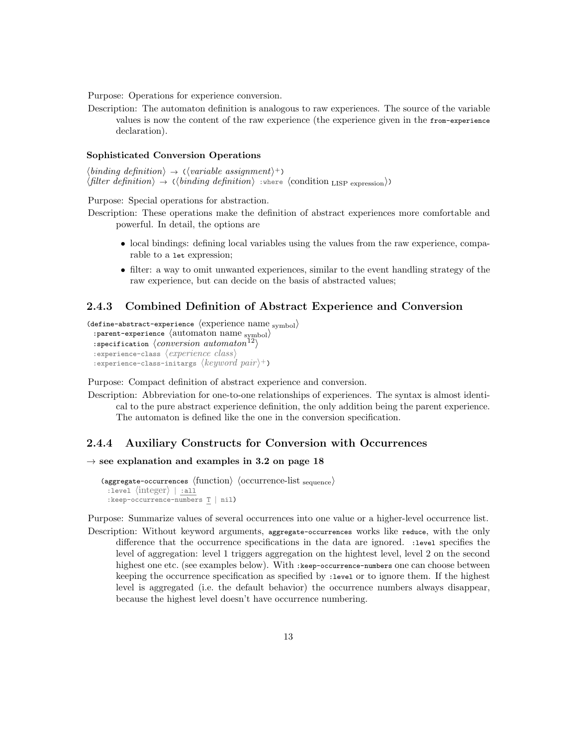Purpose: Operations for experience conversion.

Description: The automaton definition is analogous to raw experiences. The source of the variable values is now the content of the raw experience (the experience given in the from-experience declaration).

#### Sophisticated Conversion Operations

 $\langle binding\ definition \rangle \rightarrow (\langle variable\ assignment \rangle^+)$  $\langle filter \,\,definition \rangle \rightarrow (\langle binding \,\, definition \rangle : where \,\, \langle condition \,\, LISP \,\, expression \rangle)$ 

Purpose: Special operations for abstraction.

Description: These operations make the definition of abstract experiences more comfortable and powerful. In detail, the options are

- local bindings: defining local variables using the values from the raw experience, comparable to a let expression;
- filter: a way to omit unwanted experiences, similar to the event handling strategy of the raw experience, but can decide on the basis of abstracted values;

## 2.4.3 Combined Definition of Abstract Experience and Conversion

(define-abstract-experience  $\langle$  experience name  $_{\text{symbol}}\rangle$ )

```
: parent-experience \langle automaton name _{\text{symbol}}\rangle: specification \langle conversion\; automaton^{12}\rangle: experience-class \langle experience\ class\rangle
```
: experience-class-initargs  $\langle keyword\ pair \rangle^+$ )

Purpose: Compact definition of abstract experience and conversion.

Description: Abbreviation for one-to-one relationships of experiences. The syntax is almost identical to the pure abstract experience definition, the only addition being the parent experience. The automaton is defined like the one in the conversion specification.

## 2.4.4 Auxiliary Constructs for Conversion with Occurrences

## $\rightarrow$  see explanation and examples in 3.2 on page 18

```
\langle \text{aggregate-occurrences} \rangle (inction) \langle \text{occurrence-list}_{\text{sequence}} \rangle: \text{level } \langle \text{integer} \rangle | :all
  :keep-occurrence-numbers T | nil)
```
Purpose: Summarize values of several occurrences into one value or a higher-level occurrence list.

Description: Without keyword arguments, aggregate-occurrences works like reduce, with the only difference that the occurrence specifications in the data are ignored. :level specifies the level of aggregation: level 1 triggers aggregation on the hightest level, level 2 on the second highest one etc. (see examples below). With :keep-occurrence-numbers one can choose between keeping the occurrence specification as specified by :level or to ignore them. If the highest level is aggregated (i.e. the default behavior) the occurrence numbers always disappear, because the highest level doesn't have occurrence numbering.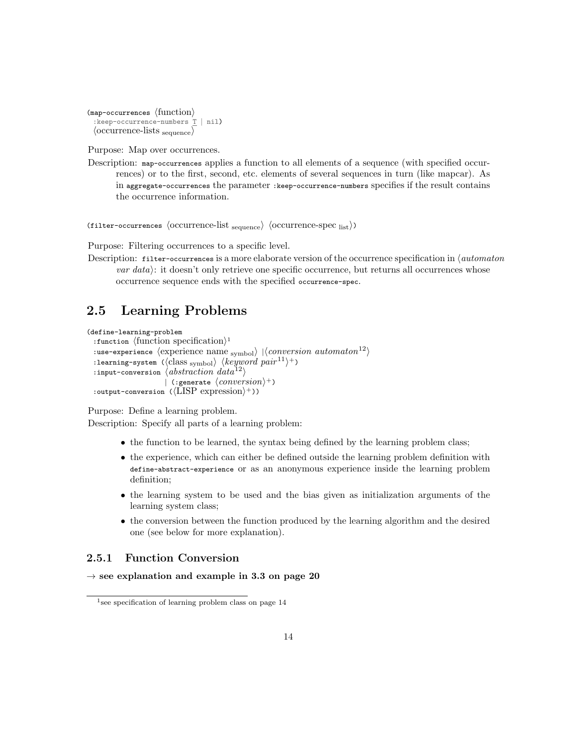```
\langlemap-occurrences \langlefunction\rangle:keep-occurrence-numbers T | nil)
  \langle occurrence-lists sequence\rangle
```
Purpose: Map over occurrences.

Description: map-occurrences applies a function to all elements of a sequence (with specified occurrences) or to the first, second, etc. elements of several sequences in turn (like mapcar). As in aggregate-occurrences the parameter :keep-occurrence-numbers specifies if the result contains the occurrence information.

(filter-occurrences  $\langle$  occurrence-list <sub>sequence</sub> $\rangle$   $\langle$  occurrence-spec  $_{list}\rangle$ )

Purpose: Filtering occurrences to a specific level.

Description: filter-occurrences is a more elaborate version of the occurrence specification in  $\langle$  automaton  $var data$ : it doesn't only retrieve one specific occurrence, but returns all occurrences whose occurrence sequence ends with the specified occurrence-spec.

## 2.5 Learning Problems

```
(define-learning-problem
  : function \{function specification\}<sup>1</sup>
  :use-experience \langle experience name <sub>symbol</sub>\rangle |\langle conversion\;automaton^{12}\rangle: learning-system (\langle class <sub>symbol</sub>) \langle keyword\ pair^{11}\rangle + \rangle: input-conversion \langle abstraction\ data^{12}\rangle| (:generate \langle conversion \rangle^+)
  :output-conversion (\langle \text{LISP expression} \rangle^+))
```
Purpose: Define a learning problem.

Description: Specify all parts of a learning problem:

- the function to be learned, the syntax being defined by the learning problem class;
- the experience, which can either be defined outside the learning problem definition with define-abstract-experience or as an anonymous experience inside the learning problem definition;
- the learning system to be used and the bias given as initialization arguments of the learning system class;
- the conversion between the function produced by the learning algorithm and the desired one (see below for more explanation).

## 2.5.1 Function Conversion

```
\rightarrow see explanation and example in 3.3 on page 20
```
<sup>&</sup>lt;sup>1</sup> see specification of learning problem class on page 14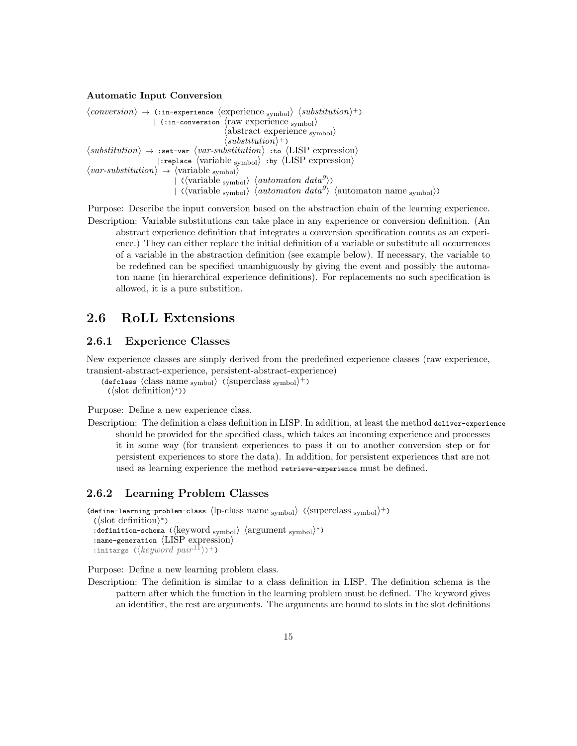#### Automatic Input Conversion

```
\langle conversion \rangle \rightarrow (:in-experience \langle experience_{\rm symbol} \rangle \langle substitution \rangle^+)| (:in-conversion \langle raw experience <sub>symbol</sub>)
                                                                   \langleabstract experience <sub>symbol</sub>\rangle\langle substitution \rangle^+\langle substitution \rangle \rightarrow :set-var \langle var-substitution \rangle :to \langle LIBP expression)
                                 |: replace \langle \text{variable }_{\text{symbol}} \rangle :by \langle \text{LISP } expression\rangle\langle var-substitution \rangle \rightarrow \langle variable_{\text{symbol}} \rangle\langle \langle \text{variable }_{\text{symbol}} \rangle \rangle \langle \text{automaton } data^g \rangle\langle \langle \text{variable} \rangle \rangle \langle \text{automaton} \text{ data}^g \rangle \langle \text{automaton} \rangle name symbol)
```
Purpose: Describe the input conversion based on the abstraction chain of the learning experience. Description: Variable substitutions can take place in any experience or conversion definition. (An abstract experience definition that integrates a conversion specification counts as an experience.) They can either replace the initial definition of a variable or substitute all occurrences of a variable in the abstraction definition (see example below). If necessary, the variable to be redefined can be specified unambiguously by giving the event and possibly the automaton name (in hierarchical experience definitions). For replacements no such specification is allowed, it is a pure substition.

## 2.6 RoLL Extensions

## 2.6.1 Experience Classes

New experience classes are simply derived from the predefined experience classes (raw experience, transient-abstract-experience, persistent-abstract-experience)

```
(defclass \langle class \space name \space symbol \rangle \space (\langle superclass \space symbol \rangle^+)(\langleslot definition\rangle^*))
```
Purpose: Define a new experience class.

Description: The definition a class definition in LISP. In addition, at least the method deliver-experience should be provided for the specified class, which takes an incoming experience and processes it in some way (for transient experiences to pass it on to another conversion step or for persistent experiences to store the data). In addition, for persistent experiences that are not used as learning experience the method retrieve-experience must be defined.

## 2.6.2 Learning Problem Classes

(define-learning-problem-class  $\langle$ lp-class name <sub>symbol</sub>)  $(\langle$ superclass <sub>symbol</sub> $\rangle$ <sup>+</sup>)  $\left(\langle\text{slot definition}\rangle^*\right)$  $\langle \text{definition-schema } (\langle \text{keyword }_{\text{symbol}} \rangle \langle \text{argument }_{\text{symbol}} \rangle^*)$ : name-generation  $\langle \text{LISP}[\text{expression}] \rangle$ : initargs ( $\langle keyword\ pair^{11}\rangle$ )+) Purpose: Define a new learning problem class.

Description: The definition is similar to a class definition in LISP. The definition schema is the pattern after which the function in the learning problem must be defined. The keyword gives an identifier, the rest are arguments. The arguments are bound to slots in the slot definitions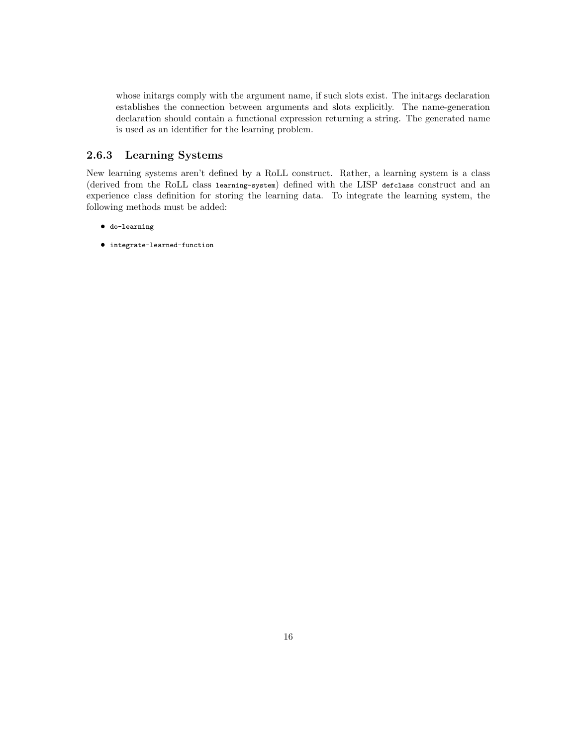whose initargs comply with the argument name, if such slots exist. The initargs declaration establishes the connection between arguments and slots explicitly. The name-generation declaration should contain a functional expression returning a string. The generated name is used as an identifier for the learning problem.

## 2.6.3 Learning Systems

New learning systems aren't defined by a RoLL construct. Rather, a learning system is a class (derived from the RoLL class learning-system) defined with the LISP defclass construct and an experience class definition for storing the learning data. To integrate the learning system, the following methods must be added:

- do-learning
- integrate-learned-function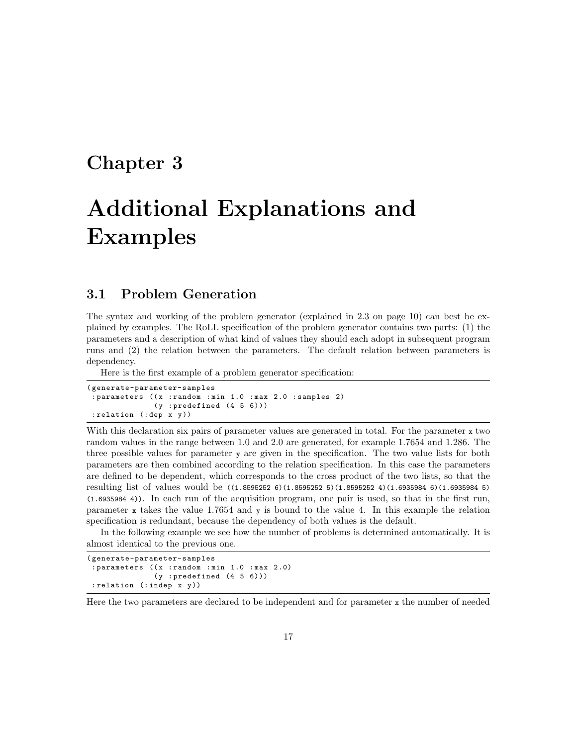## Chapter 3

# Additional Explanations and Examples

## 3.1 Problem Generation

The syntax and working of the problem generator (explained in 2.3 on page 10) can best be explained by examples. The RoLL specification of the problem generator contains two parts: (1) the parameters and a description of what kind of values they should each adopt in subsequent program runs and (2) the relation between the parameters. The default relation between parameters is dependency.

Here is the first example of a problem generator specification:

```
( generate-parameter-samples
 : parameters ((x : random : min 1.0 : max 2.0 : samples 2)
               (y : predefined (4 5 6)): relation (: dep x y))
```
With this declaration six pairs of parameter values are generated in total. For the parameter  $x$  two random values in the range between 1.0 and 2.0 are generated, for example 1.7654 and 1.286. The three possible values for parameter y are given in the specification. The two value lists for both parameters are then combined according to the relation specification. In this case the parameters are defined to be dependent, which corresponds to the cross product of the two lists, so that the resulting list of values would be ((1.8595252 6)(1.8595252 5)(1.8595252 4)(1.6935984 6)(1.6935984 5) (1.6935984 4)). In each run of the acquisition program, one pair is used, so that in the first run, parameter x takes the value 1.7654 and y is bound to the value 4. In this example the relation specification is redundant, because the dependency of both values is the default.

In the following example we see how the number of problems is determined automatically. It is almost identical to the previous one.

```
( generate-parameter-samples
 : parameters ((x : random : min 1.0 : max 2.0)
               (y : predefined (4 5 6)): relation (: indep x y))
```
Here the two parameters are declared to be independent and for parameter  $x$  the number of needed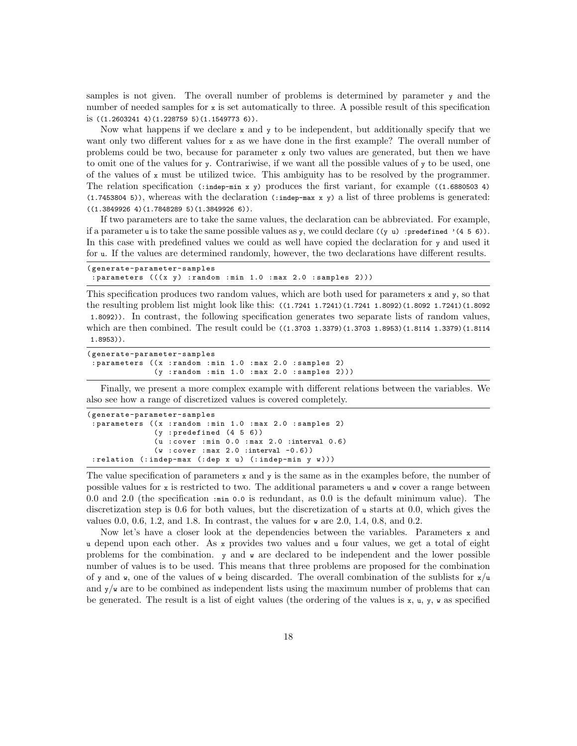samples is not given. The overall number of problems is determined by parameter y and the number of needed samples for x is set automatically to three. A possible result of this specification is ((1.2603241 4)(1.228759 5)(1.1549773 6)).

Now what happens if we declare  $x$  and  $y$  to be independent, but additionally specify that we want only two different values for  $x$  as we have done in the first example? The overall number of problems could be two, because for parameter x only two values are generated, but then we have to omit one of the values for y. Contrariwise, if we want all the possible values of y to be used, one of the values of x must be utilized twice. This ambiguity has to be resolved by the programmer. The relation specification (:indep-min x y) produces the first variant, for example ((1.6880503 4)  $(1.7453804 5)$ , whereas with the declaration  $(\cdot \text{indep-max } x y)$  a list of three problems is generated:  $((1.3849926 4)(1.7848289 5)(1.3849926 6)).$ 

If two parameters are to take the same values, the declaration can be abbreviated. For example, if a parameter u is to take the same possible values as y, we could declare  $((y u) :predefined' (4 5 6)).$ In this case with predefined values we could as well have copied the declaration for y and used it for u. If the values are determined randomly, however, the two declarations have different results.

| (generate-parameter-samples                                        |  |  |  |  |  |  |  |  |  |  |
|--------------------------------------------------------------------|--|--|--|--|--|--|--|--|--|--|
| : parameters $((x \ y) :$ random : min 1.0 : max 2.0 : samples 2)) |  |  |  |  |  |  |  |  |  |  |

This specification produces two random values, which are both used for parameters  $x$  and  $y$ , so that the resulting problem list might look like this: ((1.7241 1.7241)(1.7241 1.8092)(1.8092 1.7241)(1.8092 1.8092)). In contrast, the following specification generates two separate lists of random values, which are then combined. The result could be  $((1.3703 \; 1.3379)(1.3703 \; 1.8953)(1.8114 \; 1.3379)(1.8114$ 1.8953)).

```
( generate-parameter-samples
 : parameters ((x : random : min 1.0 : max 2.0 : samples 2)
               (y : random : min 1.0 : max 2.0 : samples 2)))
```
Finally, we present a more complex example with different relations between the variables. We also see how a range of discretized values is covered completely.

```
( generate-parameter-samples
 : parameters ((x : random : min 1.0 : max 2.0 : samples 2)
               (y : predefined (4 5 6))(u : cover : min 0.0 : max 2.0 :interval 0.6)
               (w : cover : max 2.0 : interval -0.6)): relation (: indep-max (: dep x u) (: indep-min y w)))
```
The value specification of parameters  $x$  and  $y$  is the same as in the examples before, the number of possible values for  $x$  is restricted to two. The additional parameters  $u$  and  $v$  cover a range between 0.0 and 2.0 (the specification :min 0.0 is redundant, as 0.0 is the default minimum value). The discretization step is 0.6 for both values, but the discretization of u starts at 0.0, which gives the values 0.0, 0.6, 1.2, and 1.8. In contrast, the values for  $\bf{w}$  are 2.0, 1.4, 0.8, and 0.2.

Now let's have a closer look at the dependencies between the variables. Parameters  $x$  and u depend upon each other. As x provides two values and u four values, we get a total of eight problems for the combination.  $\mathbf y$  and  $\mathbf w$  are declared to be independent and the lower possible number of values is to be used. This means that three problems are proposed for the combination of y and w, one of the values of w being discarded. The overall combination of the sublists for  $x/u$ and  $y/\nu$  are to be combined as independent lists using the maximum number of problems that can be generated. The result is a list of eight values (the ordering of the values is  $x, u, y, w$  as specified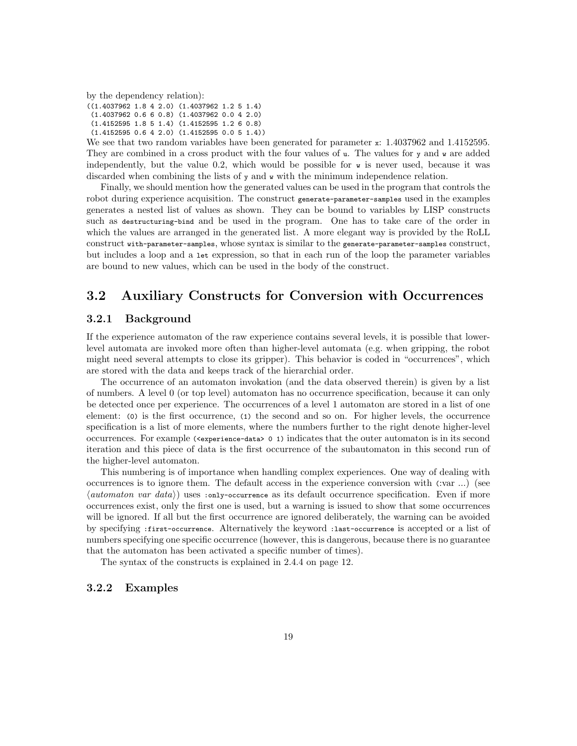by the dependency relation):

((1.4037962 1.8 4 2.0) (1.4037962 1.2 5 1.4) (1.4037962 0.6 6 0.8) (1.4037962 0.0 4 2.0) (1.4152595 1.8 5 1.4) (1.4152595 1.2 6 0.8) (1.4152595 0.6 4 2.0) (1.4152595 0.0 5 1.4))

We see that two random variables have been generated for parameter x: 1.4037962 and 1.4152595. They are combined in a cross product with the four values of u. The values for y and w are added independently, but the value 0.2, which would be possible for  $\bf{w}$  is never used, because it was discarded when combining the lists of  $y$  and  $\bf{w}$  with the minimum independence relation.

Finally, we should mention how the generated values can be used in the program that controls the robot during experience acquisition. The construct generate-parameter-samples used in the examples generates a nested list of values as shown. They can be bound to variables by LISP constructs such as destructuring-bind and be used in the program. One has to take care of the order in which the values are arranged in the generated list. A more elegant way is provided by the RoLL construct with-parameter-samples, whose syntax is similar to the generate-parameter-samples construct, but includes a loop and a let expression, so that in each run of the loop the parameter variables are bound to new values, which can be used in the body of the construct.

## 3.2 Auxiliary Constructs for Conversion with Occurrences

## 3.2.1 Background

If the experience automaton of the raw experience contains several levels, it is possible that lowerlevel automata are invoked more often than higher-level automata (e.g. when gripping, the robot might need several attempts to close its gripper). This behavior is coded in "occurrences", which are stored with the data and keeps track of the hierarchial order.

The occurrence of an automaton invokation (and the data observed therein) is given by a list of numbers. A level 0 (or top level) automaton has no occurrence specification, because it can only be detected once per experience. The occurrences of a level 1 automaton are stored in a list of one element: (0) is the first occurrence, (1) the second and so on. For higher levels, the occurrence specification is a list of more elements, where the numbers further to the right denote higher-level occurrences. For example (<experience-data> 0 1) indicates that the outer automaton is in its second iteration and this piece of data is the first occurrence of the subautomaton in this second run of the higher-level automaton.

This numbering is of importance when handling complex experiences. One way of dealing with occurrences is to ignore them. The default access in the experience conversion with (:var ...) (see  $\langle$  automaton var data $\rangle$ ) uses :only-occurrence as its default occurrence specification. Even if more occurrences exist, only the first one is used, but a warning is issued to show that some occurrences will be ignored. If all but the first occurrence are ignored deliberately, the warning can be avoided by specifying :first-occurrence. Alternatively the keyword :last-occurrence is accepted or a list of numbers specifying one specific occurrence (however, this is dangerous, because there is no guarantee that the automaton has been activated a specific number of times).

The syntax of the constructs is explained in 2.4.4 on page 12.

## 3.2.2 Examples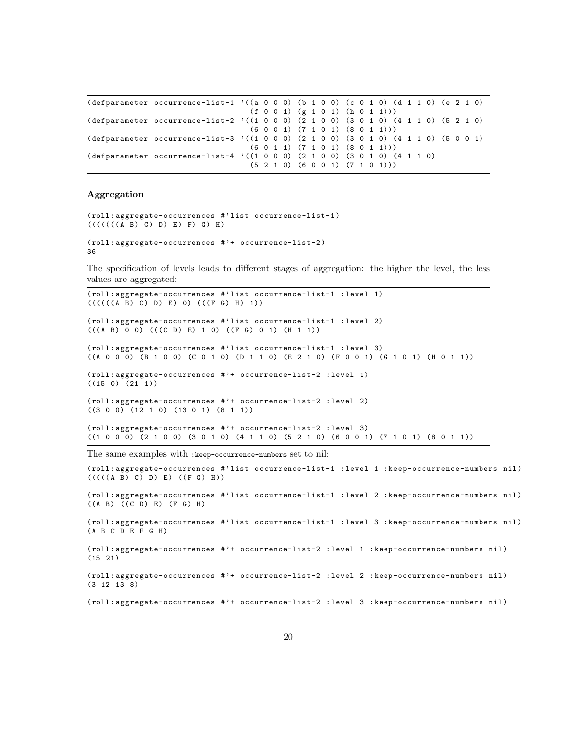```
(\text{defranometer occurrence-list-1 } '(a 0 0 0) (b 1 0 0) (c 0 1 0) (d 1 1 0) (e 2 1 0)(f 0 0 1) (g 1 0 1) (h 0 1 1)))( defparameter occurrence-list-2 '((1 0 0 0) (2 1 0 0) (3 0 1 0) (4 1 1 0) (5 2 1 0)
                                   (6 0 0 1) (7 1 0 1) (8 0 1 1)))
( defparameter occurrence-list-3 '((1 0 0 0) (2 1 0 0) (3 0 1 0) (4 1 1 0) (5 0 0 1)
                                  (6 0 1 1) (7 1 0 1) (8 0 1 1)))
( defparameter occurrence-list-4 '((1 0 0 0) (2 1 0 0) (3 0 1 0) (4 1 1 0)
                                   (5 2 1 0) (6 0 0 1) (7 1 0 1)))
```
## Aggregation

```
( roll : aggregate-occurrences # ' list occurrence-list-1 )
(((((((A \ B) C) D) E) F) G) H)( roll : aggregate-occurrences # '+ occurrence-list-2 )
36
```
The specification of levels leads to different stages of aggregation: the higher the level, the less values are aggregated:

```
( roll : aggregate-occurrences # ' list occurrence-list-1 : level 1)
(((((((A \ B) C) D) E) 0) (((F G) H) 1))( roll : aggregate-occurrences # ' list occurrence-list-1 : level 2)
(( (A \ B) 0 0) (( (C \ D) E) 1 0) (( F G) 0 1) (H 1 1))( roll : aggregate-occurrences # ' list occurrence-list-1 : level 3)
((A \ 0 \ 0 \ 0) \ (B \ 1 \ 0 \ 0)) (C 0 1 0) (D 1 1 0) (E 2 1 0) (F 0 0 1) (G 1 0 1) (H 0 1 1))
( roll : aggregate-occurrences # '+ occurrence-list-2 : level 1)
((15 0) (21 1))( roll : aggregate-occurrences # '+ occurrence-list-2 : level 2)
((3 0 0) (12 1 0) (13 0 1) (8 1 1))
( roll : aggregate-occurrences # '+ occurrence-list-2 : level 3)
((1 0 0 0) (2 1 0 0) (3 0 1 0) (4 1 1 0) (5 2 1 0) (6 0 0 1) (7 1 0 1) (8 0 1 1))
The same examples with :keep-occurrence-numbers set to nil:
( roll : aggregate-occurrences # ' list occurrence-list-1 : level 1 : keep-occurrence-numbers nil )
(((((A \ B) C) D) E) ((F G) H))( roll : aggregate-occurrences # ' list occurrence-list-1 : level 2 : keep-occurrence-numbers nil )
((A \ B) ((C \ D) E) (F G) H)( roll : aggregate-occurrences # ' list occurrence-list-1 : level 3 : keep-occurrence-numbers nil )
(A \ B \ C \ D \ E \ F \ G \ H)( roll : aggregate-occurrences # '+ occurrence-list-2 : level 1 : keep-occurrence-numbers nil )
(15 21)
```
( roll : aggregate-occurrences # '+ occurrence-list-2 : level 2 : keep-occurrence-numbers nil ) (3 12 13 8)

( roll : aggregate-occurrences # '+ occurrence-list-2 : level 3 : keep-occurrence-numbers nil )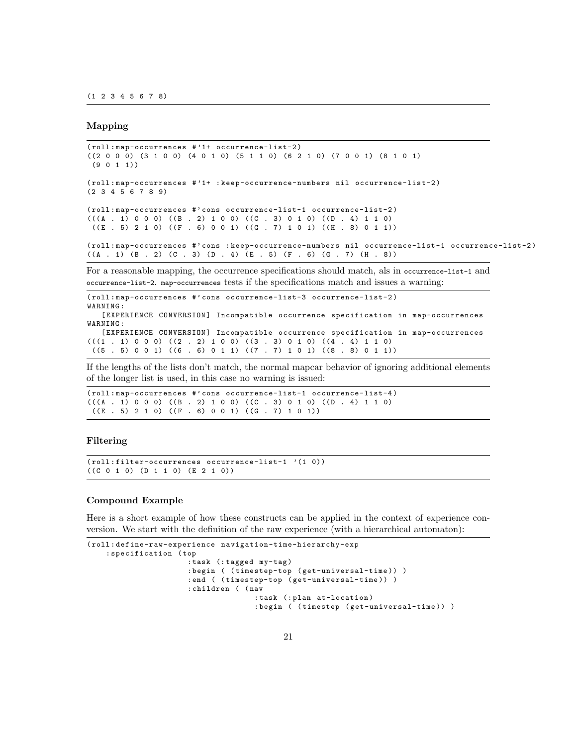#### Mapping

```
( roll : map-occurrences # '1+ occurrence-list-2 )
((2 0 0 0) (3 1 0 0) (4 0 1 0) (5 1 1 0) (6 2 1 0) (7 0 0 1) (8 1 0 1)
(9 0 1 1)( roll : map-occurrences # '1+ : keep-occurrence-numbers nil occurrence-list-2 )
(2 3 4 5 6 7 8 9)
( roll : map-occurrences #' cons occurrence-list-1 occurrence-list-2 )
((A . 1) 0 0 0) ((B . 2) 1 0 0) ((C . 3) 0 1 0) ((D . 4) 1 1 0)((E . 5) 2 1 0) ((F . 6) 0 0 1) ((G . 7) 1 0 1) ((H . 8) 0 1 1))( roll : map-occurrences #' cons : keep-occurrence-numbers nil occurrence-list-1 occurrence-list-2 )
((A . 1) (B . 2) (C . 3) (D . 4) (E . 5) (F . 6) (G . 7) (H . 8))
```
For a reasonable mapping, the occurrence specifications should match, als in occurrence-list-1 and occurrence-list-2. map-occurrences tests if the specifications match and issues a warning:

```
( roll : map-occurrences #' cons occurrence-list-3 occurrence-list-2 )
WARNING :
   [EXPERIENCE CONVERSION] Incompatible occurrence specification in map-occurrences
WARNING :
   [EXPERIENCE CONVERSION] Incompatible occurrence specification in map-occurrences
((1 \t1) 0 0 0) ((2 \t2) 1 0 0) ((3 \t3) 0 1 0) ((4 \t4) 1 1 0)((5 \t5 0 0 1) ((6 \t5 6 0 1 1) ((7 \t5 7 1 0 1) (8 \t5 8 0 1 1))
```
If the lengths of the lists don't match, the normal mapcar behavior of ignoring additional elements of the longer list is used, in this case no warning is issued:

```
( roll : map-occurrences #' cons occurrence-list-1 occurrence-list-4 )
(((A . 1) 0 0 0) ((B . 2) 1 0 0) ((C . 3) 0 1 0) ((D . 4) 1 1 0)((E . 5) 2 1 0) ((F . 6) 0 0 1) ((G . 7) 1 0 1))
```
### Filtering

( roll : filter-occurrences occurrence-list-1 '(1 0))  $((C 0 1 0) (D 1 1 0) (E 2 1 0))$ 

#### Compound Example

Here is a short example of how these constructs can be applied in the context of experience conversion. We start with the definition of the raw experience (with a hierarchical automaton):

```
( roll : define-raw-experience navigation-time-hierarchy-exp
    : specification ( top
                       : task (: tagged my-tag )
                       : begin ( ( timestep-top ( get-universal-time )) )
                       : end ( (timestep-top (get-universal-time)) )
                       : children ( ( nav
                                      : task (: plan at-location )
                                      : begin ( ( timestep ( get-universal-time )) )
```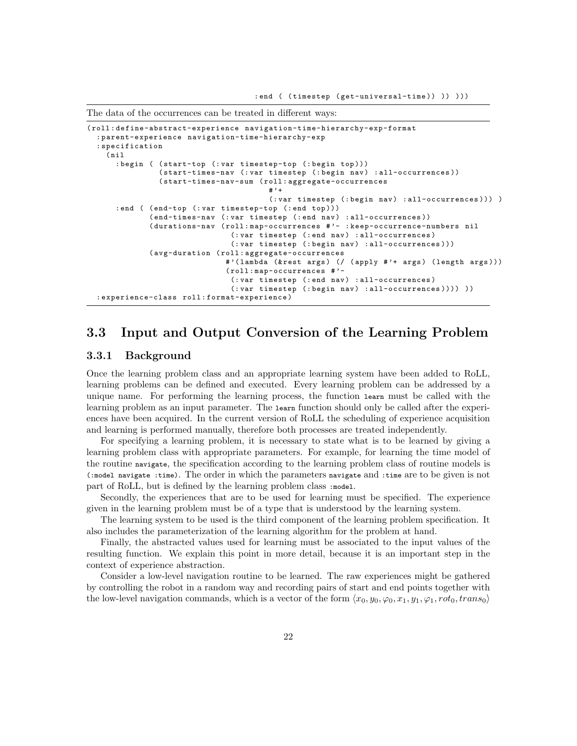The data of the occurrences can be treated in different ways:

```
( roll : define-abstract-experience navigation-time-hierarchy-exp-format
  : parent-experience navigation-time-hierarchy-exp
  : specification
    (nii): begin ( ( start-top (: var timestep-top (: begin top )))
                (start-times-nav (: var timestep (: begin nav) : all-occurrences))
                ( start-times-nav-sum ( roll : aggregate-occurrences
                                         #'+
                                         (: var timestep (: begin nav) : all-occurrences ) ) )
      : end ( (end-top (: var timestep-top (: end top)))
              ( end-times-nav (: var timestep (: end nav ) : all-occurrences ) )
              ( durations-nav ( roll : map-occurrences # '- : keep-occurrence-numbers nil
                                 (: var timestep (: end nav) : all-occurrences)
                                 (: var timestep (: begin nav) : all-occurrences)))
              ( avg-duration ( roll : aggregate-occurrences
                               #'(lambda (& rest args) (/ (apply #'+ args) (length args)))
                               ( roll : map-occurrences # '-
                                 (: var timestep (: end nav) : all-occurrences)
                                 (: var timestep (: begin nav) : all-occurrences ) ) ) ) )
  : experience-class roll : format-experience )
```
## 3.3 Input and Output Conversion of the Learning Problem

## 3.3.1 Background

Once the learning problem class and an appropriate learning system have been added to RoLL, learning problems can be defined and executed. Every learning problem can be addressed by a unique name. For performing the learning process, the function learn must be called with the learning problem as an input parameter. The learn function should only be called after the experiences have been acquired. In the current version of RoLL the scheduling of experience acquisition and learning is performed manually, therefore both processes are treated independently.

For specifying a learning problem, it is necessary to state what is to be learned by giving a learning problem class with appropriate parameters. For example, for learning the time model of the routine navigate, the specification according to the learning problem class of routine models is (:model navigate :time). The order in which the parameters navigate and :time are to be given is not part of RoLL, but is defined by the learning problem class :model.

Secondly, the experiences that are to be used for learning must be specified. The experience given in the learning problem must be of a type that is understood by the learning system.

The learning system to be used is the third component of the learning problem specification. It also includes the parameterization of the learning algorithm for the problem at hand.

Finally, the abstracted values used for learning must be associated to the input values of the resulting function. We explain this point in more detail, because it is an important step in the context of experience abstraction.

Consider a low-level navigation routine to be learned. The raw experiences might be gathered by controlling the robot in a random way and recording pairs of start and end points together with the low-level navigation commands, which is a vector of the form  $\langle x_0, y_0, \varphi_0, x_1, y_1, \varphi_1, rot_0, trans_0 \rangle$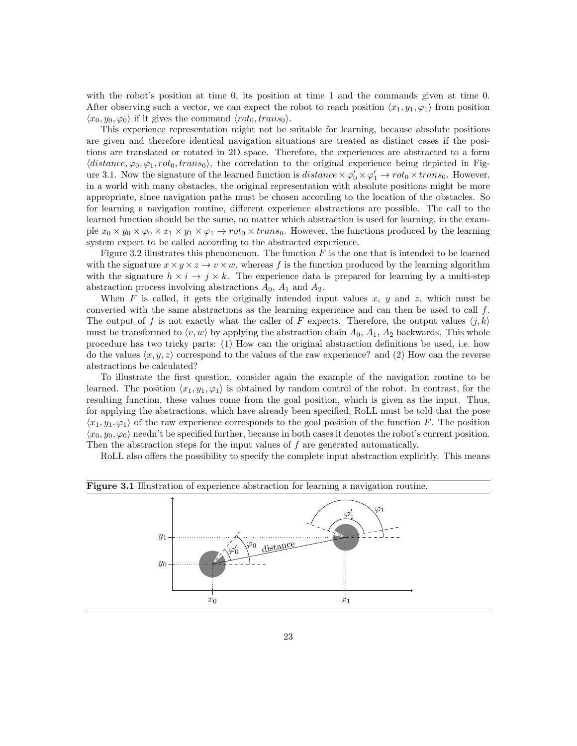with the robot's position at time 0, its position at time 1 and the commands given at time 0. After observing such a vector, we can expect the robot to reach position  $\langle x_1, y_1, \varphi_1 \rangle$  from position  $\langle x_0, y_0, \varphi_0 \rangle$  if it gives the command  $\langle rot_0, trans_0 \rangle$ .

This experience representation might not be suitable for learning, because absolute positions are given and therefore identical navigation situations are treated as distinct cases if the positions are translated or rotated in 2D space. Therefore, the experiences are abstracted to a form  $\langle distance, \varphi_0, \varphi_1, rot_0, trans_0 \rangle$ , the correlation to the original experience being depicted in Figure 3.1. Now the signature of the learned function is  $distance \times \varphi'_0 \times \varphi'_1 \to rot_0 \times trans_0$ . However, in a world with many obstacles, the original representation with absolute positions might be more appropriate, since navigation paths must be chosen according to the location of the obstacles. So for learning a navigation routine, different experience abstractions are possible. The call to the learned function should be the same, no matter which abstraction is used for learning, in the example  $x_0 \times y_0 \times \varphi_0 \times x_1 \times y_1 \times \varphi_1 \to r \circ t_0 \times trans_0$ . However, the functions produced by the learning system expect to be called according to the abstracted experience.

Figure 3.2 illustrates this phenomenon. The function  $F$  is the one that is intended to be learned with the signature  $x \times y \times z \rightarrow v \times w$ , whereas f is the function produced by the learning algorithm with the signature  $h \times i \to j \times k$ . The experience data is prepared for learning by a multi-step abstraction process involving abstractions  $A_0$ ,  $A_1$  and  $A_2$ .

When F is called, it gets the originally intended input values x, y and z, which must be converted with the same abstractions as the learning experience and can then be used to call  $f$ . The output of f is not exactly what the caller of F expects. Therefore, the output values  $\langle j, k \rangle$ must be transformed to  $\langle v, w \rangle$  by applying the abstraction chain  $A_0, A_1, A_2$  backwards. This whole procedure has two tricky parts: (1) How can the original abstraction definitions be used, i.e. how do the values  $\langle x, y, z \rangle$  correspond to the values of the raw experience? and (2) How can the reverse abstractions be calculated?

To illustrate the first question, consider again the example of the navigation routine to be learned. The position  $\langle x_1, y_1, \varphi_1 \rangle$  is obtained by random control of the robot. In contrast, for the resulting function, these values come from the goal position, which is given as the input. Thus, for applying the abstractions, which have already been specified, RoLL must be told that the pose  $\langle x_1, y_1, \varphi_1 \rangle$  of the raw experience corresponds to the goal position of the function F. The position  $\langle x_0, y_0, \varphi_0 \rangle$  needn't be specified further, because in both cases it denotes the robot's current position. Then the abstraction steps for the input values of f are generated automatically.

RoLL also offers the possibility to specify the complete input abstraction explicitly. This means

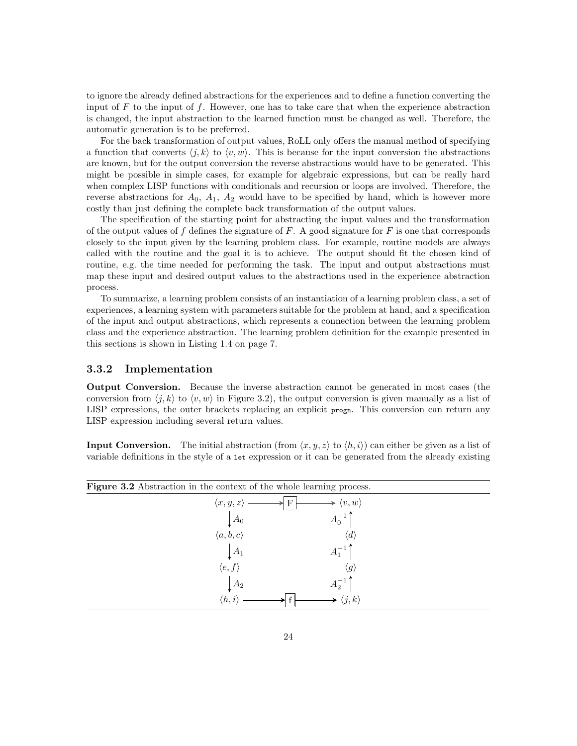to ignore the already defined abstractions for the experiences and to define a function converting the input of  $F$  to the input of  $f$ . However, one has to take care that when the experience abstraction is changed, the input abstraction to the learned function must be changed as well. Therefore, the automatic generation is to be preferred.

For the back transformation of output values, RoLL only offers the manual method of specifying a function that converts  $\langle j, k \rangle$  to  $\langle v, w \rangle$ . This is because for the input conversion the abstractions are known, but for the output conversion the reverse abstractions would have to be generated. This might be possible in simple cases, for example for algebraic expressions, but can be really hard when complex LISP functions with conditionals and recursion or loops are involved. Therefore, the reverse abstractions for  $A_0$ ,  $A_1$ ,  $A_2$  would have to be specified by hand, which is however more costly than just defining the complete back transformation of the output values.

The specification of the starting point for abstracting the input values and the transformation of the output values of f defines the signature of F. A good signature for F is one that corresponds closely to the input given by the learning problem class. For example, routine models are always called with the routine and the goal it is to achieve. The output should fit the chosen kind of routine, e.g. the time needed for performing the task. The input and output abstractions must map these input and desired output values to the abstractions used in the experience abstraction process.

To summarize, a learning problem consists of an instantiation of a learning problem class, a set of experiences, a learning system with parameters suitable for the problem at hand, and a specification of the input and output abstractions, which represents a connection between the learning problem class and the experience abstraction. The learning problem definition for the example presented in this sections is shown in Listing 1.4 on page 7.

## 3.3.2 Implementation

Output Conversion. Because the inverse abstraction cannot be generated in most cases (the conversion from  $\langle j, k \rangle$  to  $\langle v, w \rangle$  in Figure 3.2), the output conversion is given manually as a list of LISP expressions, the outer brackets replacing an explicit progn. This conversion can return any LISP expression including several return values.

**Input Conversion.** The initial abstraction (from  $\langle x, y, z \rangle$  to  $\langle h, i \rangle$ ) can either be given as a list of variable definitions in the style of a let expression or it can be generated from the already existing

| <b>Figure 3.2</b> Abstraction in the context of the whole learning process. |                         |  |
|-----------------------------------------------------------------------------|-------------------------|--|
| $\langle x,y,z\rangle$                                                      | $\langle v, w \rangle$  |  |
| $\bigcup A_0$                                                               | $A_0^{-1}$              |  |
| $\langle a,b,c\rangle$                                                      | $\langle d \rangle$     |  |
| $\mid A_1$                                                                  | $A_1^{-1}$ <sup>T</sup> |  |
| $\langle e, f \rangle$                                                      | $\langle g \rangle$     |  |
| $A_2$                                                                       | $A_2^{-1}$              |  |
| $\langle h,i\rangle$                                                        | $\langle j,k\rangle$    |  |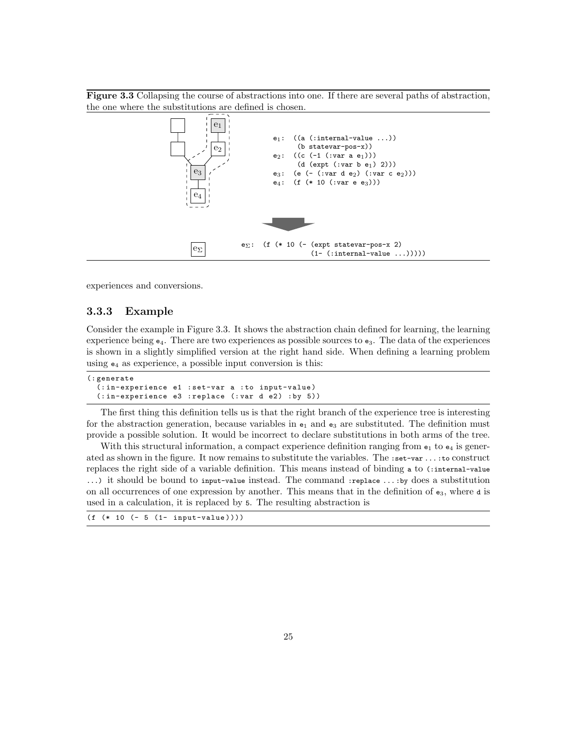Figure 3.3 Collapsing the course of abstractions into one. If there are several paths of abstraction, the one where the substitutions are defined is chosen.



experiences and conversions.

## 3.3.3 Example

Consider the example in Figure 3.3. It shows the abstraction chain defined for learning, the learning experience being  $e_4$ . There are two experiences as possible sources to  $e_3$ . The data of the experiences is shown in a slightly simplified version at the right hand side. When defining a learning problem using  $e_4$  as experience, a possible input conversion is this:

```
(: generate
  (: in-experience e1 : set-var a : to input-value )
  (:in-experience e3 : replace (: var d e2) : by 5))
```
The first thing this definition tells us is that the right branch of the experience tree is interesting for the abstraction generation, because variables in  $e_1$  and  $e_3$  are substituted. The definition must provide a possible solution. It would be incorrect to declare substitutions in both arms of the tree.

With this structural information, a compact experience definition ranging from  $e_1$  to  $e_4$  is generated as shown in the figure. It now remains to substitute the variables. The :set-var . . . :to construct replaces the right side of a variable definition. This means instead of binding a to (:internal-value ...) it should be bound to input-value instead. The command :replace ...: by does a substitution on all occurrences of one expression by another. This means that in the definition of  $e_3$ , where d is used in a calculation, it is replaced by 5. The resulting abstraction is

(f (\* 10 (- 5 (1- input-value ))))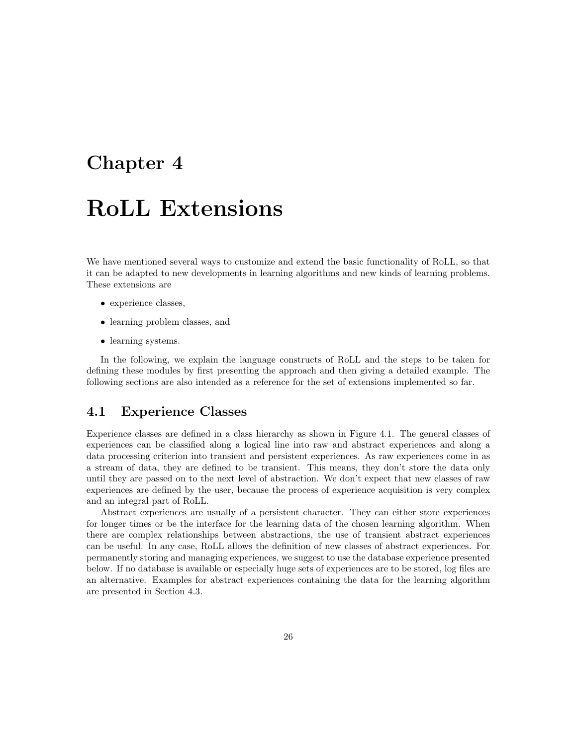## Chapter 4

## RoLL Extensions

We have mentioned several ways to customize and extend the basic functionality of RoLL, so that it can be adapted to new developments in learning algorithms and new kinds of learning problems. These extensions are

- experience classes,
- learning problem classes, and
- learning systems.

In the following, we explain the language constructs of RoLL and the steps to be taken for defining these modules by first presenting the approach and then giving a detailed example. The following sections are also intended as a reference for the set of extensions implemented so far.

## 4.1 Experience Classes

Experience classes are defined in a class hierarchy as shown in Figure 4.1. The general classes of experiences can be classified along a logical line into raw and abstract experiences and along a data processing criterion into transient and persistent experiences. As raw experiences come in as a stream of data, they are defined to be transient. This means, they don't store the data only until they are passed on to the next level of abstraction. We don't expect that new classes of raw experiences are defined by the user, because the process of experience acquisition is very complex and an integral part of RoLL.

Abstract experiences are usually of a persistent character. They can either store experiences for longer times or be the interface for the learning data of the chosen learning algorithm. When there are complex relationships between abstractions, the use of transient abstract experiences can be useful. In any case, RoLL allows the definition of new classes of abstract experiences. For permanently storing and managing experiences, we suggest to use the database experience presented below. If no database is available or especially huge sets of experiences are to be stored, log files are an alternative. Examples for abstract experiences containing the data for the learning algorithm are presented in Section 4.3.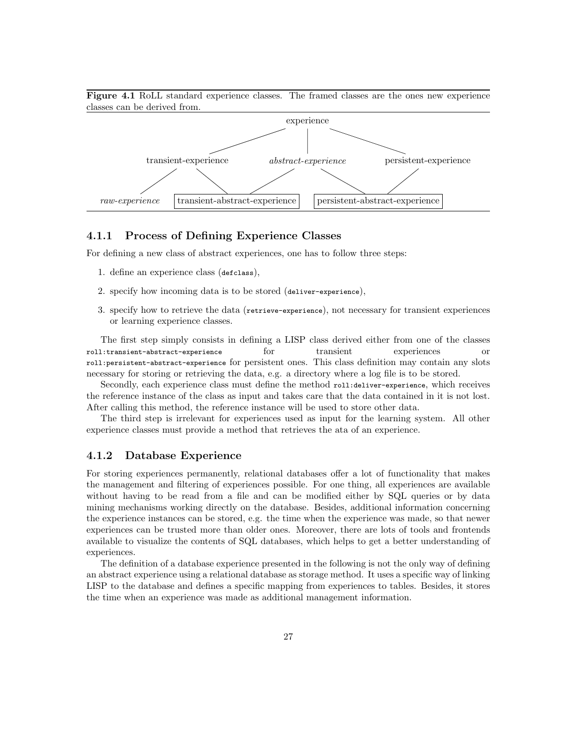

Figure 4.1 RoLL standard experience classes. The framed classes are the ones new experience classes can be derived from.

## 4.1.1 Process of Defining Experience Classes

For defining a new class of abstract experiences, one has to follow three steps:

- 1. define an experience class (defclass),
- 2. specify how incoming data is to be stored (deliver-experience),
- 3. specify how to retrieve the data (retrieve-experience), not necessary for transient experiences or learning experience classes.

The first step simply consists in defining a LISP class derived either from one of the classes roll:transient-abstract-experience for transient experiences or roll:persistent-abstract-experience for persistent ones. This class definition may contain any slots necessary for storing or retrieving the data, e.g. a directory where a log file is to be stored.

Secondly, each experience class must define the method roll:deliver-experience, which receives the reference instance of the class as input and takes care that the data contained in it is not lost. After calling this method, the reference instance will be used to store other data.

The third step is irrelevant for experiences used as input for the learning system. All other experience classes must provide a method that retrieves the ata of an experience.

## 4.1.2 Database Experience

For storing experiences permanently, relational databases offer a lot of functionality that makes the management and filtering of experiences possible. For one thing, all experiences are available without having to be read from a file and can be modified either by SQL queries or by data mining mechanisms working directly on the database. Besides, additional information concerning the experience instances can be stored, e.g. the time when the experience was made, so that newer experiences can be trusted more than older ones. Moreover, there are lots of tools and frontends available to visualize the contents of SQL databases, which helps to get a better understanding of experiences.

The definition of a database experience presented in the following is not the only way of defining an abstract experience using a relational database as storage method. It uses a specific way of linking LISP to the database and defines a specific mapping from experiences to tables. Besides, it stores the time when an experience was made as additional management information.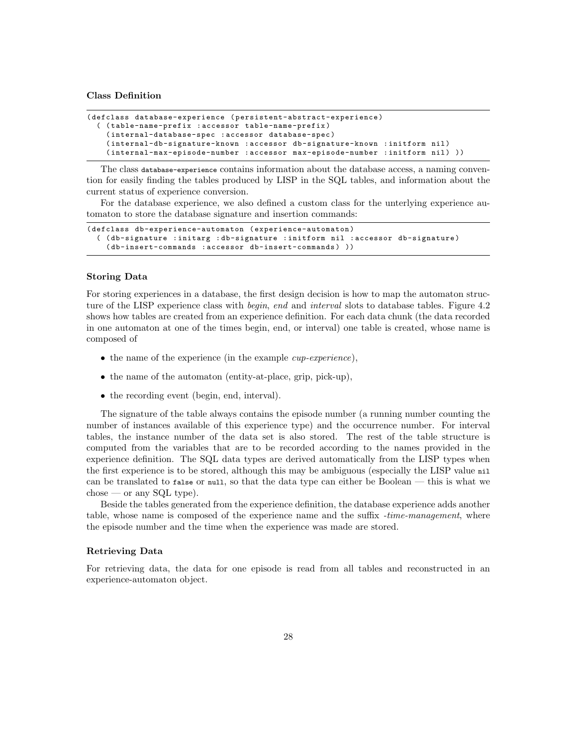#### Class Definition

```
( defclass database-experience ( persistent-abstract-experience )
  ( ( table-name-prefix : accessor table-name-prefix )
    ( internal-database-spec : accessor database-spec )
    ( internal-db-signature-known : accessor db-signature-known : initform nil )
    ( internal-max-episode-number : accessor max-episode-number : initform nil ) ))
```
The class database-experience contains information about the database access, a naming convention for easily finding the tables produced by LISP in the SQL tables, and information about the current status of experience conversion.

For the database experience, we also defined a custom class for the unterlying experience automaton to store the database signature and insertion commands:

```
( defclass db-experience-automaton ( experience-automaton )
  ( ( db-signature : initarg : db-signature : initform nil : accessor db-signature )
    (db-insert-commands : accessor db-insert-commands)))
```
### Storing Data

For storing experiences in a database, the first design decision is how to map the automaton structure of the LISP experience class with *begin, end* and *interval* slots to database tables. Figure 4.2 shows how tables are created from an experience definition. For each data chunk (the data recorded in one automaton at one of the times begin, end, or interval) one table is created, whose name is composed of

- the name of the experience (in the example *cup-experience*),
- the name of the automaton (entity-at-place, grip, pick-up),
- the recording event (begin, end, interval).

The signature of the table always contains the episode number (a running number counting the number of instances available of this experience type) and the occurrence number. For interval tables, the instance number of the data set is also stored. The rest of the table structure is computed from the variables that are to be recorded according to the names provided in the experience definition. The SQL data types are derived automatically from the LISP types when the first experience is to be stored, although this may be ambiguous (especially the LISP value nil can be translated to false or null, so that the data type can either be Boolean — this is what we  $choose — or any SQL type).$ 

Beside the tables generated from the experience definition, the database experience adds another table, whose name is composed of the experience name and the suffix -time-management, where the episode number and the time when the experience was made are stored.

#### Retrieving Data

For retrieving data, the data for one episode is read from all tables and reconstructed in an experience-automaton object.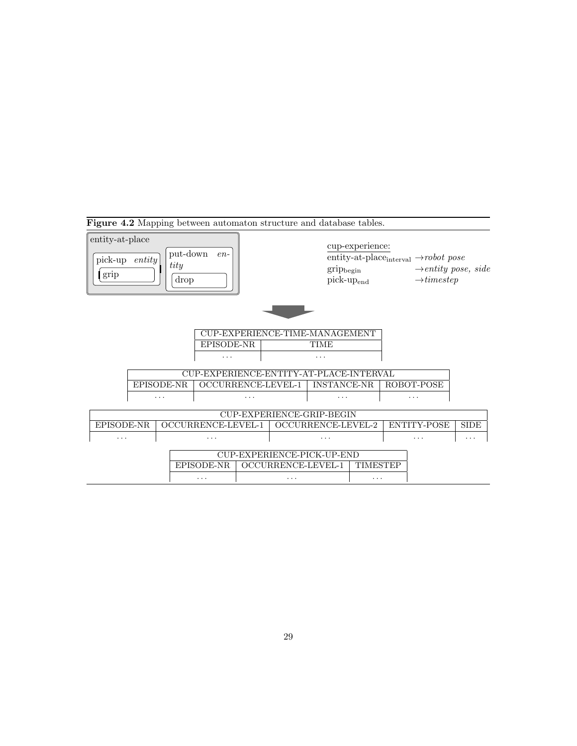|                                                                                |                                  |   | Figure 4.2 Mapping between automaton structure and database tables. |          |                                         |                                        |                                 |                 |                                                                  |             |
|--------------------------------------------------------------------------------|----------------------------------|---|---------------------------------------------------------------------|----------|-----------------------------------------|----------------------------------------|---------------------------------|-----------------|------------------------------------------------------------------|-------------|
| entity-at-place<br>put-down<br>$en-$<br>pick-up entity<br>tity<br>grip<br>drop |                                  |   |                                                                     |          |                                         | $grip_{begin}$                         | cup-experience:<br>$pick-upend$ |                 | $\rightarrow$ <i>entity pose, side</i><br>$\rightarrow$ timestep |             |
|                                                                                |                                  |   | EPISODE-NR<br>.                                                     |          |                                         | CUP-EXPERIENCE-TIME-MANAGEMENT<br>TIME |                                 |                 |                                                                  |             |
|                                                                                |                                  |   |                                                                     |          | CUP-EXPERIENCE-ENTITY-AT-PLACE-INTERVAL |                                        |                                 |                 |                                                                  |             |
|                                                                                | EPISODE-NR<br>OCCURRENCE-LEVEL-1 |   |                                                                     |          | <b>INSTANCE-NR</b>                      |                                        |                                 | ROBOT-POSE      |                                                                  |             |
|                                                                                |                                  | . |                                                                     | .        |                                         | .                                      |                                 | .               |                                                                  |             |
|                                                                                |                                  |   |                                                                     |          |                                         | CUP-EXPERIENCE-GRIP-BEGIN              |                                 |                 |                                                                  |             |
| EPISODE-NR                                                                     |                                  |   | OCCURRENCE-LEVEL-1                                                  |          | OCCURRENCE-LEVEL-2                      |                                        |                                 |                 | ENTITY-POSE                                                      | <b>SIDE</b> |
| .                                                                              |                                  | . |                                                                     | $\cdots$ |                                         |                                        | .                               |                 |                                                                  |             |
| CUP-EXPERIENCE-PICK-UP-END                                                     |                                  |   |                                                                     |          |                                         |                                        |                                 |                 |                                                                  |             |
|                                                                                |                                  |   | EPISODE-NR                                                          |          |                                         | OCCURRENCE-LEVEL-1                     |                                 | <b>TIMESTEP</b> |                                                                  |             |
|                                                                                |                                  |   | $\cdots$                                                            | .        |                                         |                                        | .                               |                 |                                                                  |             |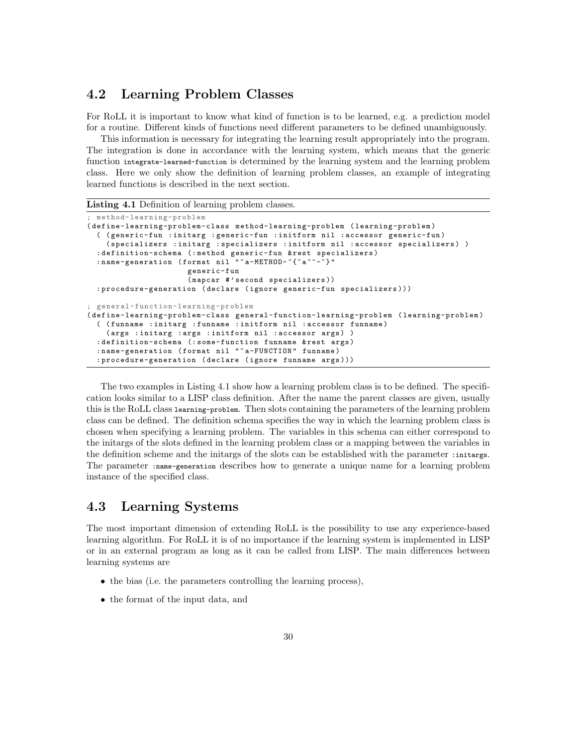## 4.2 Learning Problem Classes

For RoLL it is important to know what kind of function is to be learned, e.g. a prediction model for a routine. Different kinds of functions need different parameters to be defined unambiguously.

This information is necessary for integrating the learning result appropriately into the program. The integration is done in accordance with the learning system, which means that the generic function integrate-learned-function is determined by the learning system and the learning problem class. Here we only show the definition of learning problem classes, an example of integrating learned functions is described in the next section.

Listing 4.1 Definition of learning problem classes.

```
; method-learning-problem
( define-learning-problem-class method-learning-problem ( learning-problem )
  ( ( generic-fun : initarg : generic-fun : initform nil : accessor generic-fun )
    ( specializers : initarg : specializers : initform nil : accessor specializers ) )
  : definition-schema (: method generic-fun & rest specializers )
  : name-generation (format nil ""a-METHOD-"{"a"^-"}"
                      generic-fun
                      ( mapcar #' second specializers ))
  : procedure-generation ( declare ( ignore generic-fun specializers )))
; general-function-learning-problem
( define-learning-problem-class general-function-learning-problem ( learning-problem )
  ( ( funname : initarg : funname : initform nil : accessor funname )
    ( args : initarg : args : initform nil : accessor args ) )
  : definition-schema (: some-function funname & rest args)
  : name-generation (format nil "~a-FUNCTION" funname)
  : procedure-generation ( declare ( ignore funname args )))
```
The two examples in Listing 4.1 show how a learning problem class is to be defined. The specification looks similar to a LISP class definition. After the name the parent classes are given, usually this is the RoLL class learning-problem. Then slots containing the parameters of the learning problem class can be defined. The definition schema specifies the way in which the learning problem class is chosen when specifying a learning problem. The variables in this schema can either correspond to the initargs of the slots defined in the learning problem class or a mapping between the variables in the definition scheme and the initargs of the slots can be established with the parameter :initargs. The parameter :name-generation describes how to generate a unique name for a learning problem instance of the specified class.

## 4.3 Learning Systems

The most important dimension of extending RoLL is the possibility to use any experience-based learning algorithm. For RoLL it is of no importance if the learning system is implemented in LISP or in an external program as long as it can be called from LISP. The main differences between learning systems are

- the bias (i.e. the parameters controlling the learning process),
- the format of the input data, and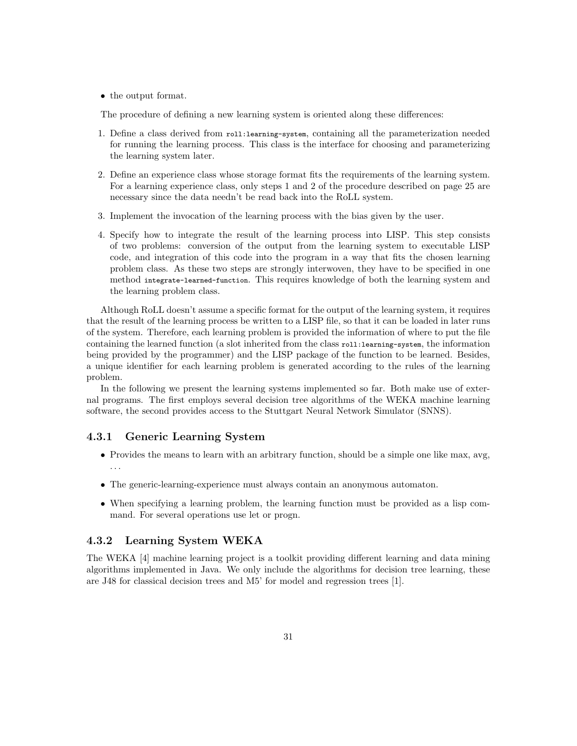• the output format.

The procedure of defining a new learning system is oriented along these differences:

- 1. Define a class derived from roll:learning-system, containing all the parameterization needed for running the learning process. This class is the interface for choosing and parameterizing the learning system later.
- 2. Define an experience class whose storage format fits the requirements of the learning system. For a learning experience class, only steps 1 and 2 of the procedure described on page 25 are necessary since the data needn't be read back into the RoLL system.
- 3. Implement the invocation of the learning process with the bias given by the user.
- 4. Specify how to integrate the result of the learning process into LISP. This step consists of two problems: conversion of the output from the learning system to executable LISP code, and integration of this code into the program in a way that fits the chosen learning problem class. As these two steps are strongly interwoven, they have to be specified in one method integrate-learned-function. This requires knowledge of both the learning system and the learning problem class.

Although RoLL doesn't assume a specific format for the output of the learning system, it requires that the result of the learning process be written to a LISP file, so that it can be loaded in later runs of the system. Therefore, each learning problem is provided the information of where to put the file containing the learned function (a slot inherited from the class roll:learning-system, the information being provided by the programmer) and the LISP package of the function to be learned. Besides, a unique identifier for each learning problem is generated according to the rules of the learning problem.

In the following we present the learning systems implemented so far. Both make use of external programs. The first employs several decision tree algorithms of the WEKA machine learning software, the second provides access to the Stuttgart Neural Network Simulator (SNNS).

#### 4.3.1 Generic Learning System

- Provides the means to learn with an arbitrary function, should be a simple one like max, avg, . . .
- The generic-learning-experience must always contain an anonymous automaton.
- When specifying a learning problem, the learning function must be provided as a lisp command. For several operations use let or progn.

## 4.3.2 Learning System WEKA

The WEKA [4] machine learning project is a toolkit providing different learning and data mining algorithms implemented in Java. We only include the algorithms for decision tree learning, these are J48 for classical decision trees and M5' for model and regression trees [1].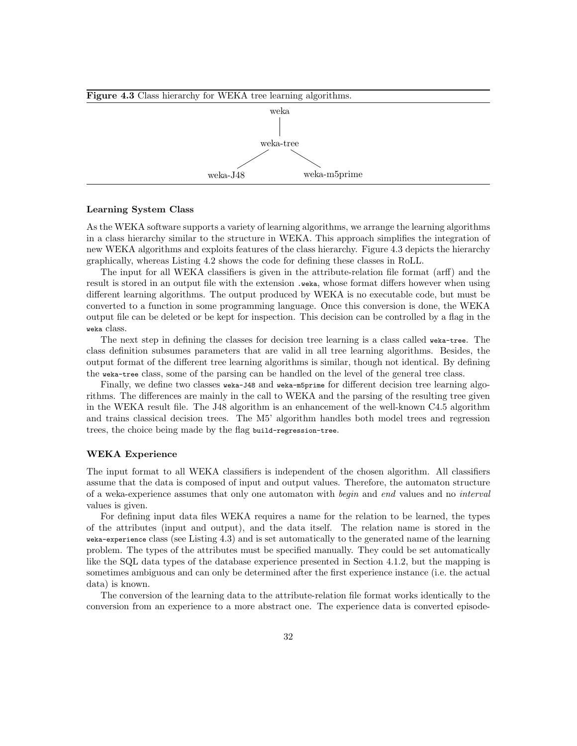

#### Learning System Class

As the WEKA software supports a variety of learning algorithms, we arrange the learning algorithms in a class hierarchy similar to the structure in WEKA. This approach simplifies the integration of new WEKA algorithms and exploits features of the class hierarchy. Figure 4.3 depicts the hierarchy graphically, whereas Listing 4.2 shows the code for defining these classes in RoLL.

The input for all WEKA classifiers is given in the attribute-relation file format (arff) and the result is stored in an output file with the extension .weka, whose format differs however when using different learning algorithms. The output produced by WEKA is no executable code, but must be converted to a function in some programming language. Once this conversion is done, the WEKA output file can be deleted or be kept for inspection. This decision can be controlled by a flag in the weka class.

The next step in defining the classes for decision tree learning is a class called weka-tree. The class definition subsumes parameters that are valid in all tree learning algorithms. Besides, the output format of the different tree learning algorithms is similar, though not identical. By defining the weka-tree class, some of the parsing can be handled on the level of the general tree class.

Finally, we define two classes weka-J48 and weka-m5prime for different decision tree learning algorithms. The differences are mainly in the call to WEKA and the parsing of the resulting tree given in the WEKA result file. The J48 algorithm is an enhancement of the well-known C4.5 algorithm and trains classical decision trees. The M5' algorithm handles both model trees and regression trees, the choice being made by the flag build-regression-tree.

### WEKA Experience

The input format to all WEKA classifiers is independent of the chosen algorithm. All classifiers assume that the data is composed of input and output values. Therefore, the automaton structure of a weka-experience assumes that only one automaton with begin and end values and no interval values is given.

For defining input data files WEKA requires a name for the relation to be learned, the types of the attributes (input and output), and the data itself. The relation name is stored in the weka-experience class (see Listing 4.3) and is set automatically to the generated name of the learning problem. The types of the attributes must be specified manually. They could be set automatically like the SQL data types of the database experience presented in Section 4.1.2, but the mapping is sometimes ambiguous and can only be determined after the first experience instance (i.e. the actual data) is known.

The conversion of the learning data to the attribute-relation file format works identically to the conversion from an experience to a more abstract one. The experience data is converted episode-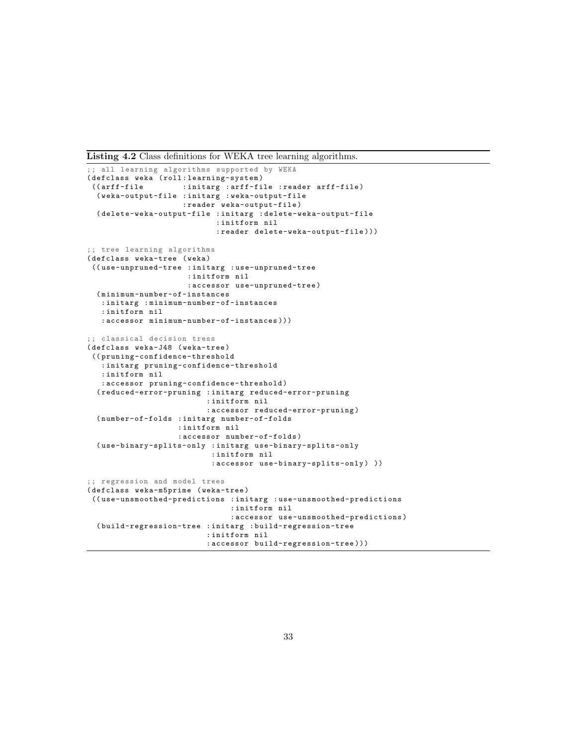Listing 4.2 Class definitions for WEKA tree learning algorithms.

```
;; all learning algorithms supported by WEKA
(defclass weka (roll:learning-system)<br>((arff-file :initarg :arff-fi
                    : initarg : arff-file : reader arff-file)
  ( weka-output-file : initarg : weka-output-file
                     : reader weka-output-file )
  ( delete-weka-output-file : initarg : delete-weka-output-file
                             : initform nil
                             : reader delete-weka-output-file )))
;; tree learning algorithms
( defclass weka-tree ( weka )
(( use-unpruned-tree : initarg : use-unpruned-tree
                      : initform nil
                      : accessor use-unpruned-tree )
  ( minimum-number-of-instances
   : initarg : minimum-number-of-instances
   : initform nil
   : accessor minimum-number-of-instances )))
;; classical decision tress
( defclass weka-J48 ( weka-tree )
(( pruning-confidence-threshold
   : initarg pruning-confidence-threshold
   : initform nil
   : accessor pruning-confidence-threshold )
  ( reduced-error-pruning : initarg reduced-error-pruning
                           : initform nil
                           : accessor reduced-error-pruning )
  ( number-of-folds : initarg number-of-folds
                    : initform nil
                     : accessor number-of-folds )
  ( use-binary-splits-only : initarg use-binary-splits-only
                            : initform nil
                            : accessor use-binary-splits-only ) ))
;; regression and model trees
( defclass weka-m5prime ( weka-tree )
(( use-unsmoothed-predictions : initarg : use-unsmoothed-predictions
                                : initform nil
                                : accessor use-unsmoothed-predictions )
  ( build-regression-tree : initarg : build-regression-tree
                           : initform nil
                           : accessor build-regression-tree )))
```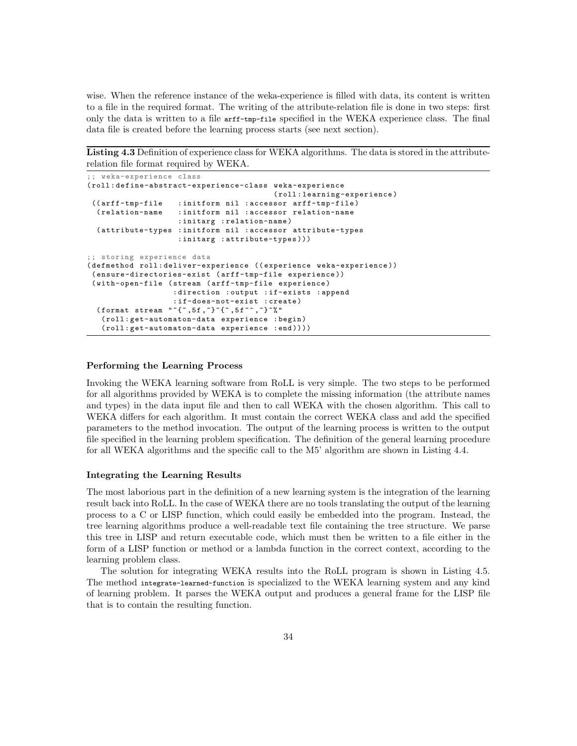wise. When the reference instance of the weka-experience is filled with data, its content is written to a file in the required format. The writing of the attribute-relation file is done in two steps: first only the data is written to a file arff-tmp-file specified in the WEKA experience class. The final data file is created before the learning process starts (see next section).

Listing 4.3 Definition of experience class for WEKA algorithms. The data is stored in the attributerelation file format required by WEKA.

```
;; weka-experience class
( roll : define-abstract-experience-class weka-experience
                                          ( roll : learning-experience )
 (( arff-tmp-file : initform nil : accessor arff-tmp-file )
  ( relation-name : initform nil : accessor relation-name
                    : initarg : relation-name )
  ( attribute-types : initform nil : accessor attribute-types
                    : initarg : attribute-types )))
;; storing experience data
( defmethod roll : deliver-experience (( experience weka-experience ))
 ( ensure-directories-exist ( arff-tmp-file experience ))
 ( with-open-file ( stream ( arff-tmp-file experience )
                   : direction : output : if-exists : append
                   : if-does-not-exist : create )
  (format stream "(*,5f,*)*\{*,5f*^,*}*%"
   ( roll : get-automaton-data experience : begin )
   ( roll : get-automaton-data experience : end ))))
```
### Performing the Learning Process

Invoking the WEKA learning software from RoLL is very simple. The two steps to be performed for all algorithms provided by WEKA is to complete the missing information (the attribute names and types) in the data input file and then to call WEKA with the chosen algorithm. This call to WEKA differs for each algorithm. It must contain the correct WEKA class and add the specified parameters to the method invocation. The output of the learning process is written to the output file specified in the learning problem specification. The definition of the general learning procedure for all WEKA algorithms and the specific call to the M5' algorithm are shown in Listing 4.4.

#### Integrating the Learning Results

The most laborious part in the definition of a new learning system is the integration of the learning result back into RoLL. In the case of WEKA there are no tools translating the output of the learning process to a C or LISP function, which could easily be embedded into the program. Instead, the tree learning algorithms produce a well-readable text file containing the tree structure. We parse this tree in LISP and return executable code, which must then be written to a file either in the form of a LISP function or method or a lambda function in the correct context, according to the learning problem class.

The solution for integrating WEKA results into the RoLL program is shown in Listing 4.5. The method integrate-learned-function is specialized to the WEKA learning system and any kind of learning problem. It parses the WEKA output and produces a general frame for the LISP file that is to contain the resulting function.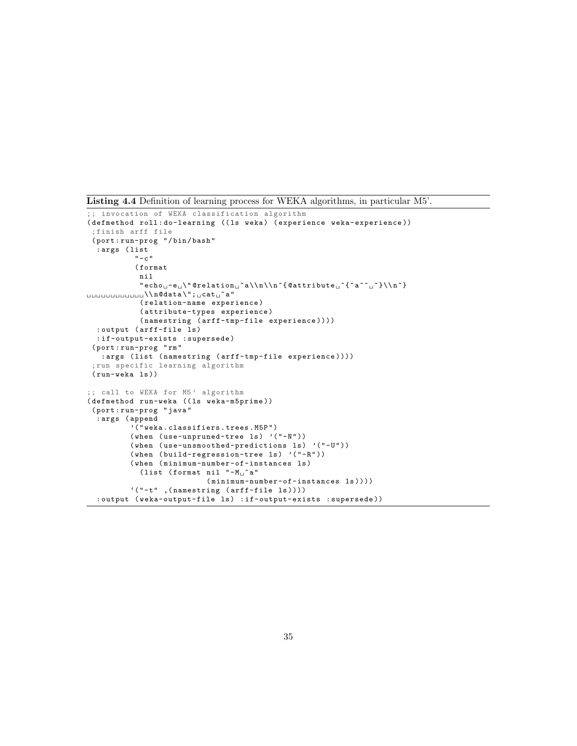Listing 4.4 Definition of learning process for WEKA algorithms, in particular M5'.

```
;; invocation of WEKA classification algorithm
( defmethod roll: do-learning (( ls weka) ( experience weka-experience))
 ; finish arff file
 ( port : run-prog "/ bin / bash "
   : args ( list
               "-c "
               ( format
                nil
                 "echo_\text{u}\text{``\texttt{Q}^\texttt{Q}^\texttt{Q}^\texttt{Q}^\texttt{Q}^\texttt{Q}^\texttt{Q}^\texttt{Q}^\texttt{Q}^\texttt{Q}^\texttt{Q}^\texttt{Q}^\texttt{Q}^\texttt{Q}^\texttt{Q}^\texttt{Q}^\texttt{Q}^\texttt{Q}^\texttt{Q}^\texttt{Q}^\texttt{Q}^\texttt{Q}^\texttt{Q}^\texttt{Q}^\texttt{Q}^\texttt{Q}^\texttt{Q}^\texttt{Q}^\texttt{Q}^\texttt{Q}^\texttt{Q}^\texttt{Q}^\texttt{Q}^\texttt{Q}^\texttt{Q}\texttt{\small \textsf{unununun}}\\ \verb"lqdata\\";\texttt{\small \textsf{cat}}\texttt{\small \textsf{a}}" \texttt{\small \textsf{a}}"( relation-name experience )
                 ( attribute-types experience )
                 ( namestring ( arff-tmp-file experience ))))
  : output ( arff-file ls )
   : if-output-exists : supersede )
 ( port : run-prog " rm "
    : args ( list ( namestring ( arff-tmp-file experience ))))
  ; run specific learning algorithm
 ( run-weka ls ))
;; call to WEKA for M5' algorithm
( defmethod run-weka (( ls weka-m5prime ))
 ( port : run-prog " java "
   : args ( append
              '(" weka . classifiers . trees . M5P ")
              (when (use-unpruned-tree ls) '( " - N' ))
              (when (use-unsmoothed-predictions ls) '("-U"))
              (when (build-regression-tree ls) '(" - R"))
              ( when ( minimum-number-of-instances ls )
                 (list (format nil "-M_{\Box}"a"
                                       (\texttt{minimum-number-of-instances l}s))))'(" -t" ,( namestring ( arff-file ls ))))
   : output (weka-output-file ls) : if-output-exists : supersede))
```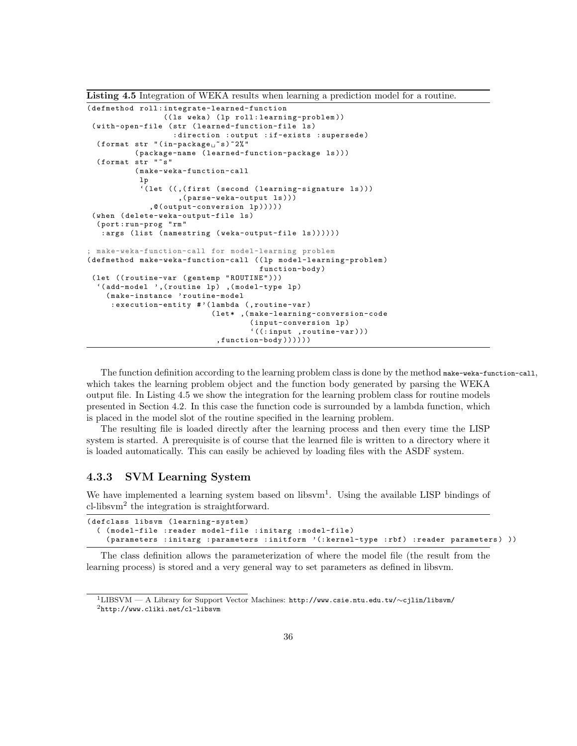Listing 4.5 Integration of WEKA results when learning a prediction model for a routine.

```
( defmethod roll : integrate-learned-function
                 ((ls weka) (lp roll:learning-problem))
 ( with-open-file ( str ( learned-function-file ls )
                    : direction : output : if-exists : supersede )
  (format str "(in-package ^ss) ~2%"
           ( package-name ( learned-function-package ls )))
  (format str "~s"
           ( make-weka-function-call
           lp
            '( let (( ,( first ( second ( learning-signature ls )))
                     ,( parse-weka-output ls )))
              ,@( output-conversion lp )))))
 ( when ( delete-weka-output-file ls )
  ( port : run-prog " rm "
   : args (list (namestring (weka-output-file ls))))))
 make-weka-function-call for model-learning problem
( defmethod make-weka-function-call (( lp model-learning-problem )
                                        function-body )
 ( let (( routine-var ( gentemp " ROUTINE" ) ) )
  '(add-model ',(routine lp) ,(model-type lp)
    ( make-instance ' routine-model
     : execution-entity # '( lambda (, routine-var )
                             (let*, (make-learning-conversion-code
                                     ( input-conversion lp )
                                      '((\text{input } , \text{routine-var} )), function-body ))))))
```
The function definition according to the learning problem class is done by the method make-weka-function-call, which takes the learning problem object and the function body generated by parsing the WEKA output file. In Listing 4.5 we show the integration for the learning problem class for routine models presented in Section 4.2. In this case the function code is surrounded by a lambda function, which is placed in the model slot of the routine specified in the learning problem.

The resulting file is loaded directly after the learning process and then every time the LISP system is started. A prerequisite is of course that the learned file is written to a directory where it is loaded automatically. This can easily be achieved by loading files with the ASDF system.

## 4.3.3 SVM Learning System

We have implemented a learning system based on libsvm<sup>1</sup>. Using the available LISP bindings of cl-libsvm<sup>2</sup> the integration is straightforward.

```
( defclass libsvm ( learning-system )
  ( ( model-file : reader model-file : initarg : model-file )
    (parameters : initarg : parameters : initform '(: kernel-type : rbf) : reader parameters) ))
```
The class definition allows the parameterization of where the model file (the result from the learning process) is stored and a very general way to set parameters as defined in libsvm.

<sup>1</sup>LIBSVM — A Library for Support Vector Machines: http://www.csie.ntu.edu.tw/∼cjlin/libsvm/  $^{2}$ http://www.cliki.net/cl-libsvm